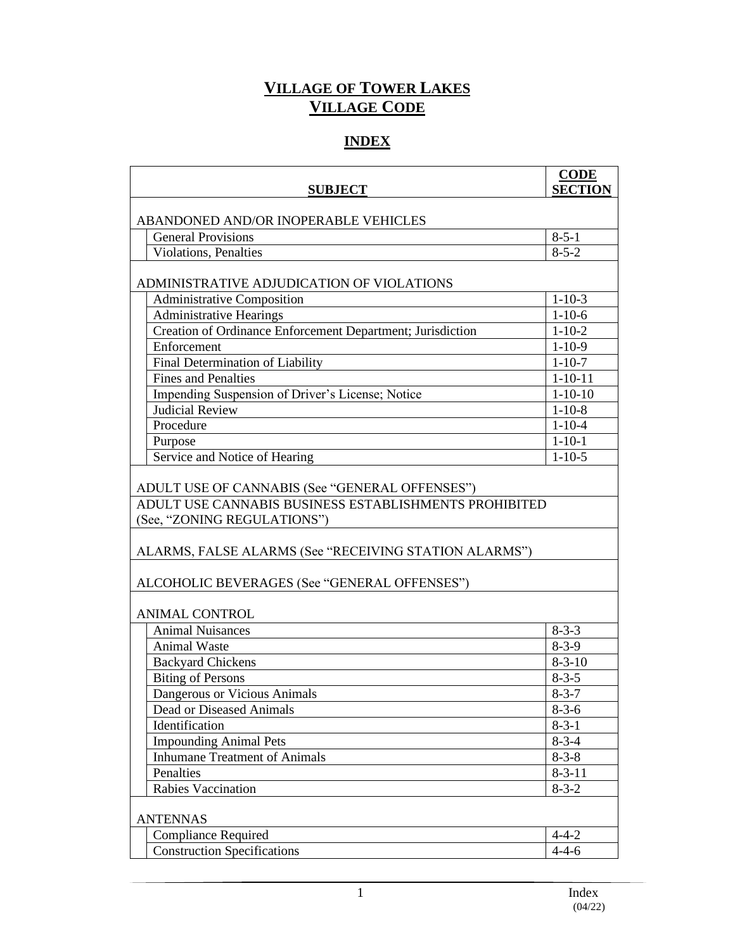## **VILLAGE OF TOWER LAKES VILLAGE CODE**

## **INDEX**

| <b>SUBJECT</b>                                                                                                                                | <b>CODE</b><br><b>SECTION</b> |  |
|-----------------------------------------------------------------------------------------------------------------------------------------------|-------------------------------|--|
| ABANDONED AND/OR INOPERABLE VEHICLES                                                                                                          |                               |  |
| <b>General Provisions</b>                                                                                                                     | $8 - 5 - 1$                   |  |
| <b>Violations, Penalties</b>                                                                                                                  | $8 - 5 - 2$                   |  |
| ADMINISTRATIVE ADJUDICATION OF VIOLATIONS                                                                                                     |                               |  |
| <b>Administrative Composition</b>                                                                                                             | $1 - 10 - 3$                  |  |
| <b>Administrative Hearings</b>                                                                                                                | $1 - 10 - 6$                  |  |
| Creation of Ordinance Enforcement Department; Jurisdiction                                                                                    | $1 - 10 - 2$                  |  |
| Enforcement                                                                                                                                   | $1 - 10 - 9$                  |  |
| Final Determination of Liability                                                                                                              | $1 - 10 - 7$                  |  |
| <b>Fines and Penalties</b>                                                                                                                    | $1 - 10 - 11$                 |  |
| Impending Suspension of Driver's License; Notice                                                                                              | $1 - 10 - 10$                 |  |
| <b>Judicial Review</b>                                                                                                                        | $1 - 10 - 8$                  |  |
| Procedure                                                                                                                                     | $1 - 10 - 4$                  |  |
| Purpose                                                                                                                                       | $1 - 10 - 1$                  |  |
| Service and Notice of Hearing                                                                                                                 | $1 - 10 - 5$                  |  |
| ADULT USE CANNABIS BUSINESS ESTABLISHMENTS PROHIBITED<br>(See, "ZONING REGULATIONS")<br>ALARMS, FALSE ALARMS (See "RECEIVING STATION ALARMS") |                               |  |
| ALCOHOLIC BEVERAGES (See "GENERAL OFFENSES")                                                                                                  |                               |  |
| <b>ANIMAL CONTROL</b>                                                                                                                         |                               |  |
| <b>Animal Nuisances</b>                                                                                                                       | $8 - 3 - 3$                   |  |
| Animal Waste                                                                                                                                  | $8-3-9$                       |  |
| <b>Backyard Chickens</b>                                                                                                                      | $8 - 3 - 10$                  |  |
| <b>Biting of Persons</b>                                                                                                                      | $8 - 3 - 5$                   |  |
| Dangerous or Vicious Animals                                                                                                                  | $8 - 3 - 7$                   |  |
| Dead or Diseased Animals                                                                                                                      | $8 - 3 - 6$                   |  |
| Identification                                                                                                                                | $8 - 3 - 1$                   |  |
| <b>Impounding Animal Pets</b>                                                                                                                 | $8-3-4$                       |  |
| <b>Inhumane Treatment of Animals</b>                                                                                                          | $8 - 3 - 8$                   |  |
| Penalties                                                                                                                                     | $8 - 3 - 11$                  |  |
| Rabies Vaccination                                                                                                                            | $8 - 3 - 2$                   |  |
| <b>ANTENNAS</b>                                                                                                                               |                               |  |
| <b>Compliance Required</b>                                                                                                                    | $4 - 4 - 2$                   |  |
| <b>Construction Specifications</b>                                                                                                            | $4 - 4 - 6$                   |  |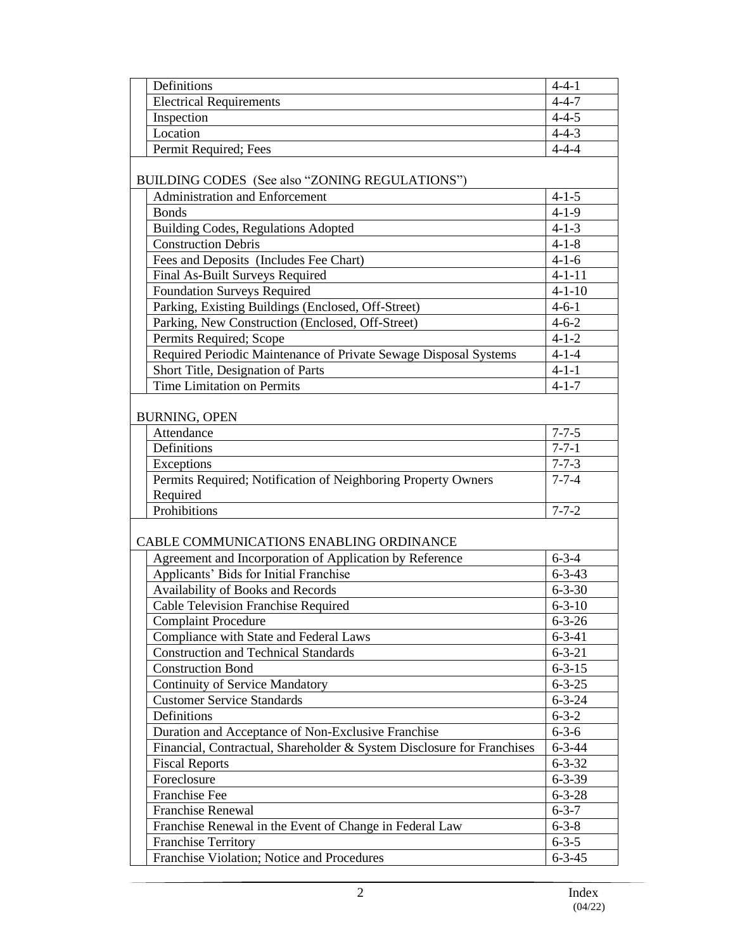| <b>Electrical Requirements</b><br>$4 - 4 - 7$<br>$4 - 4 - 5$<br>Inspection<br>Location<br>$4 - 4 - 3$<br>Permit Required; Fees<br>$4 - 4 - 4$<br>BUILDING CODES (See also "ZONING REGULATIONS")<br><b>Administration and Enforcement</b><br>$4 - 1 - 5$<br><b>Bonds</b><br>$4 - 1 - 9$<br>$4 - 1 - 3$<br><b>Building Codes, Regulations Adopted</b><br>$4 - 1 - 8$<br><b>Construction Debris</b><br>Fees and Deposits (Includes Fee Chart)<br>$4 - 1 - 6$<br>$4 - 1 - 11$<br>Final As-Built Surveys Required<br><b>Foundation Surveys Required</b><br>$4 - 1 - 10$<br>Parking, Existing Buildings (Enclosed, Off-Street)<br>$4 - 6 - 1$<br>Parking, New Construction (Enclosed, Off-Street)<br>$4 - 6 - 2$<br>Permits Required; Scope<br>$4 - 1 - 2$<br>Required Periodic Maintenance of Private Sewage Disposal Systems<br>$4 - 1 - 4$<br>Short Title, Designation of Parts<br>$4 - 1 - 1$<br>Time Limitation on Permits<br>$4 - 1 - 7$<br><b>BURNING, OPEN</b><br>$7 - 7 - 5$<br>Attendance<br>$7 - 7 - 1$<br>Definitions<br>Exceptions<br>$7 - 7 - 3$<br>Permits Required; Notification of Neighboring Property Owners<br>$7 - 7 - 4$<br>Required<br>Prohibitions<br>$7 - 7 - 2$<br>CABLE COMMUNICATIONS ENABLING ORDINANCE<br>Agreement and Incorporation of Application by Reference<br>$6 - 3 - 4$<br>Applicants' Bids for Initial Franchise<br>$6 - 3 - 43$<br>Availability of Books and Records<br>$6 - 3 - 30$<br><b>Cable Television Franchise Required</b><br>$6 - 3 - 10$<br>$6 - 3 - 26$<br><b>Complaint Procedure</b><br>Compliance with State and Federal Laws<br>$6 - 3 - 41$<br><b>Construction and Technical Standards</b><br>$6 - 3 - 21$<br><b>Construction Bond</b><br>$6 - 3 - 15$<br><b>Continuity of Service Mandatory</b><br>$6 - 3 - 25$<br><b>Customer Service Standards</b><br>$6 - 3 - 24$<br>Definitions<br>$6 - 3 - 2$<br>Duration and Acceptance of Non-Exclusive Franchise<br>$6 - 3 - 6$<br>Financial, Contractual, Shareholder & System Disclosure for Franchises<br>$6 - 3 - 44$<br><b>Fiscal Reports</b><br>$6 - 3 - 32$<br>Foreclosure<br>$6 - 3 - 39$<br><b>Franchise Fee</b><br>$6 - 3 - 28$<br><b>Franchise Renewal</b><br>$6 - 3 - 7$<br>Franchise Renewal in the Event of Change in Federal Law<br>$6 - 3 - 8$<br><b>Franchise Territory</b><br>$6 - 3 - 5$<br>Franchise Violation; Notice and Procedures<br>$6 - 3 - 45$ | Definitions | $4 - 4 - 1$ |
|----------------------------------------------------------------------------------------------------------------------------------------------------------------------------------------------------------------------------------------------------------------------------------------------------------------------------------------------------------------------------------------------------------------------------------------------------------------------------------------------------------------------------------------------------------------------------------------------------------------------------------------------------------------------------------------------------------------------------------------------------------------------------------------------------------------------------------------------------------------------------------------------------------------------------------------------------------------------------------------------------------------------------------------------------------------------------------------------------------------------------------------------------------------------------------------------------------------------------------------------------------------------------------------------------------------------------------------------------------------------------------------------------------------------------------------------------------------------------------------------------------------------------------------------------------------------------------------------------------------------------------------------------------------------------------------------------------------------------------------------------------------------------------------------------------------------------------------------------------------------------------------------------------------------------------------------------------------------------------------------------------------------------------------------------------------------------------------------------------------------------------------------------------------------------------------------------------------------------------------------------------------------------------------------------------------------------------------------------------------------|-------------|-------------|
|                                                                                                                                                                                                                                                                                                                                                                                                                                                                                                                                                                                                                                                                                                                                                                                                                                                                                                                                                                                                                                                                                                                                                                                                                                                                                                                                                                                                                                                                                                                                                                                                                                                                                                                                                                                                                                                                                                                                                                                                                                                                                                                                                                                                                                                                                                                                                                      |             |             |
|                                                                                                                                                                                                                                                                                                                                                                                                                                                                                                                                                                                                                                                                                                                                                                                                                                                                                                                                                                                                                                                                                                                                                                                                                                                                                                                                                                                                                                                                                                                                                                                                                                                                                                                                                                                                                                                                                                                                                                                                                                                                                                                                                                                                                                                                                                                                                                      |             |             |
|                                                                                                                                                                                                                                                                                                                                                                                                                                                                                                                                                                                                                                                                                                                                                                                                                                                                                                                                                                                                                                                                                                                                                                                                                                                                                                                                                                                                                                                                                                                                                                                                                                                                                                                                                                                                                                                                                                                                                                                                                                                                                                                                                                                                                                                                                                                                                                      |             |             |
|                                                                                                                                                                                                                                                                                                                                                                                                                                                                                                                                                                                                                                                                                                                                                                                                                                                                                                                                                                                                                                                                                                                                                                                                                                                                                                                                                                                                                                                                                                                                                                                                                                                                                                                                                                                                                                                                                                                                                                                                                                                                                                                                                                                                                                                                                                                                                                      |             |             |
|                                                                                                                                                                                                                                                                                                                                                                                                                                                                                                                                                                                                                                                                                                                                                                                                                                                                                                                                                                                                                                                                                                                                                                                                                                                                                                                                                                                                                                                                                                                                                                                                                                                                                                                                                                                                                                                                                                                                                                                                                                                                                                                                                                                                                                                                                                                                                                      |             |             |
|                                                                                                                                                                                                                                                                                                                                                                                                                                                                                                                                                                                                                                                                                                                                                                                                                                                                                                                                                                                                                                                                                                                                                                                                                                                                                                                                                                                                                                                                                                                                                                                                                                                                                                                                                                                                                                                                                                                                                                                                                                                                                                                                                                                                                                                                                                                                                                      |             |             |
|                                                                                                                                                                                                                                                                                                                                                                                                                                                                                                                                                                                                                                                                                                                                                                                                                                                                                                                                                                                                                                                                                                                                                                                                                                                                                                                                                                                                                                                                                                                                                                                                                                                                                                                                                                                                                                                                                                                                                                                                                                                                                                                                                                                                                                                                                                                                                                      |             |             |
|                                                                                                                                                                                                                                                                                                                                                                                                                                                                                                                                                                                                                                                                                                                                                                                                                                                                                                                                                                                                                                                                                                                                                                                                                                                                                                                                                                                                                                                                                                                                                                                                                                                                                                                                                                                                                                                                                                                                                                                                                                                                                                                                                                                                                                                                                                                                                                      |             |             |
|                                                                                                                                                                                                                                                                                                                                                                                                                                                                                                                                                                                                                                                                                                                                                                                                                                                                                                                                                                                                                                                                                                                                                                                                                                                                                                                                                                                                                                                                                                                                                                                                                                                                                                                                                                                                                                                                                                                                                                                                                                                                                                                                                                                                                                                                                                                                                                      |             |             |
|                                                                                                                                                                                                                                                                                                                                                                                                                                                                                                                                                                                                                                                                                                                                                                                                                                                                                                                                                                                                                                                                                                                                                                                                                                                                                                                                                                                                                                                                                                                                                                                                                                                                                                                                                                                                                                                                                                                                                                                                                                                                                                                                                                                                                                                                                                                                                                      |             |             |
|                                                                                                                                                                                                                                                                                                                                                                                                                                                                                                                                                                                                                                                                                                                                                                                                                                                                                                                                                                                                                                                                                                                                                                                                                                                                                                                                                                                                                                                                                                                                                                                                                                                                                                                                                                                                                                                                                                                                                                                                                                                                                                                                                                                                                                                                                                                                                                      |             |             |
|                                                                                                                                                                                                                                                                                                                                                                                                                                                                                                                                                                                                                                                                                                                                                                                                                                                                                                                                                                                                                                                                                                                                                                                                                                                                                                                                                                                                                                                                                                                                                                                                                                                                                                                                                                                                                                                                                                                                                                                                                                                                                                                                                                                                                                                                                                                                                                      |             |             |
|                                                                                                                                                                                                                                                                                                                                                                                                                                                                                                                                                                                                                                                                                                                                                                                                                                                                                                                                                                                                                                                                                                                                                                                                                                                                                                                                                                                                                                                                                                                                                                                                                                                                                                                                                                                                                                                                                                                                                                                                                                                                                                                                                                                                                                                                                                                                                                      |             |             |
|                                                                                                                                                                                                                                                                                                                                                                                                                                                                                                                                                                                                                                                                                                                                                                                                                                                                                                                                                                                                                                                                                                                                                                                                                                                                                                                                                                                                                                                                                                                                                                                                                                                                                                                                                                                                                                                                                                                                                                                                                                                                                                                                                                                                                                                                                                                                                                      |             |             |
|                                                                                                                                                                                                                                                                                                                                                                                                                                                                                                                                                                                                                                                                                                                                                                                                                                                                                                                                                                                                                                                                                                                                                                                                                                                                                                                                                                                                                                                                                                                                                                                                                                                                                                                                                                                                                                                                                                                                                                                                                                                                                                                                                                                                                                                                                                                                                                      |             |             |
|                                                                                                                                                                                                                                                                                                                                                                                                                                                                                                                                                                                                                                                                                                                                                                                                                                                                                                                                                                                                                                                                                                                                                                                                                                                                                                                                                                                                                                                                                                                                                                                                                                                                                                                                                                                                                                                                                                                                                                                                                                                                                                                                                                                                                                                                                                                                                                      |             |             |
|                                                                                                                                                                                                                                                                                                                                                                                                                                                                                                                                                                                                                                                                                                                                                                                                                                                                                                                                                                                                                                                                                                                                                                                                                                                                                                                                                                                                                                                                                                                                                                                                                                                                                                                                                                                                                                                                                                                                                                                                                                                                                                                                                                                                                                                                                                                                                                      |             |             |
|                                                                                                                                                                                                                                                                                                                                                                                                                                                                                                                                                                                                                                                                                                                                                                                                                                                                                                                                                                                                                                                                                                                                                                                                                                                                                                                                                                                                                                                                                                                                                                                                                                                                                                                                                                                                                                                                                                                                                                                                                                                                                                                                                                                                                                                                                                                                                                      |             |             |
|                                                                                                                                                                                                                                                                                                                                                                                                                                                                                                                                                                                                                                                                                                                                                                                                                                                                                                                                                                                                                                                                                                                                                                                                                                                                                                                                                                                                                                                                                                                                                                                                                                                                                                                                                                                                                                                                                                                                                                                                                                                                                                                                                                                                                                                                                                                                                                      |             |             |
|                                                                                                                                                                                                                                                                                                                                                                                                                                                                                                                                                                                                                                                                                                                                                                                                                                                                                                                                                                                                                                                                                                                                                                                                                                                                                                                                                                                                                                                                                                                                                                                                                                                                                                                                                                                                                                                                                                                                                                                                                                                                                                                                                                                                                                                                                                                                                                      |             |             |
|                                                                                                                                                                                                                                                                                                                                                                                                                                                                                                                                                                                                                                                                                                                                                                                                                                                                                                                                                                                                                                                                                                                                                                                                                                                                                                                                                                                                                                                                                                                                                                                                                                                                                                                                                                                                                                                                                                                                                                                                                                                                                                                                                                                                                                                                                                                                                                      |             |             |
|                                                                                                                                                                                                                                                                                                                                                                                                                                                                                                                                                                                                                                                                                                                                                                                                                                                                                                                                                                                                                                                                                                                                                                                                                                                                                                                                                                                                                                                                                                                                                                                                                                                                                                                                                                                                                                                                                                                                                                                                                                                                                                                                                                                                                                                                                                                                                                      |             |             |
|                                                                                                                                                                                                                                                                                                                                                                                                                                                                                                                                                                                                                                                                                                                                                                                                                                                                                                                                                                                                                                                                                                                                                                                                                                                                                                                                                                                                                                                                                                                                                                                                                                                                                                                                                                                                                                                                                                                                                                                                                                                                                                                                                                                                                                                                                                                                                                      |             |             |
|                                                                                                                                                                                                                                                                                                                                                                                                                                                                                                                                                                                                                                                                                                                                                                                                                                                                                                                                                                                                                                                                                                                                                                                                                                                                                                                                                                                                                                                                                                                                                                                                                                                                                                                                                                                                                                                                                                                                                                                                                                                                                                                                                                                                                                                                                                                                                                      |             |             |
|                                                                                                                                                                                                                                                                                                                                                                                                                                                                                                                                                                                                                                                                                                                                                                                                                                                                                                                                                                                                                                                                                                                                                                                                                                                                                                                                                                                                                                                                                                                                                                                                                                                                                                                                                                                                                                                                                                                                                                                                                                                                                                                                                                                                                                                                                                                                                                      |             |             |
|                                                                                                                                                                                                                                                                                                                                                                                                                                                                                                                                                                                                                                                                                                                                                                                                                                                                                                                                                                                                                                                                                                                                                                                                                                                                                                                                                                                                                                                                                                                                                                                                                                                                                                                                                                                                                                                                                                                                                                                                                                                                                                                                                                                                                                                                                                                                                                      |             |             |
|                                                                                                                                                                                                                                                                                                                                                                                                                                                                                                                                                                                                                                                                                                                                                                                                                                                                                                                                                                                                                                                                                                                                                                                                                                                                                                                                                                                                                                                                                                                                                                                                                                                                                                                                                                                                                                                                                                                                                                                                                                                                                                                                                                                                                                                                                                                                                                      |             |             |
|                                                                                                                                                                                                                                                                                                                                                                                                                                                                                                                                                                                                                                                                                                                                                                                                                                                                                                                                                                                                                                                                                                                                                                                                                                                                                                                                                                                                                                                                                                                                                                                                                                                                                                                                                                                                                                                                                                                                                                                                                                                                                                                                                                                                                                                                                                                                                                      |             |             |
|                                                                                                                                                                                                                                                                                                                                                                                                                                                                                                                                                                                                                                                                                                                                                                                                                                                                                                                                                                                                                                                                                                                                                                                                                                                                                                                                                                                                                                                                                                                                                                                                                                                                                                                                                                                                                                                                                                                                                                                                                                                                                                                                                                                                                                                                                                                                                                      |             |             |
|                                                                                                                                                                                                                                                                                                                                                                                                                                                                                                                                                                                                                                                                                                                                                                                                                                                                                                                                                                                                                                                                                                                                                                                                                                                                                                                                                                                                                                                                                                                                                                                                                                                                                                                                                                                                                                                                                                                                                                                                                                                                                                                                                                                                                                                                                                                                                                      |             |             |
|                                                                                                                                                                                                                                                                                                                                                                                                                                                                                                                                                                                                                                                                                                                                                                                                                                                                                                                                                                                                                                                                                                                                                                                                                                                                                                                                                                                                                                                                                                                                                                                                                                                                                                                                                                                                                                                                                                                                                                                                                                                                                                                                                                                                                                                                                                                                                                      |             |             |
|                                                                                                                                                                                                                                                                                                                                                                                                                                                                                                                                                                                                                                                                                                                                                                                                                                                                                                                                                                                                                                                                                                                                                                                                                                                                                                                                                                                                                                                                                                                                                                                                                                                                                                                                                                                                                                                                                                                                                                                                                                                                                                                                                                                                                                                                                                                                                                      |             |             |
|                                                                                                                                                                                                                                                                                                                                                                                                                                                                                                                                                                                                                                                                                                                                                                                                                                                                                                                                                                                                                                                                                                                                                                                                                                                                                                                                                                                                                                                                                                                                                                                                                                                                                                                                                                                                                                                                                                                                                                                                                                                                                                                                                                                                                                                                                                                                                                      |             |             |
|                                                                                                                                                                                                                                                                                                                                                                                                                                                                                                                                                                                                                                                                                                                                                                                                                                                                                                                                                                                                                                                                                                                                                                                                                                                                                                                                                                                                                                                                                                                                                                                                                                                                                                                                                                                                                                                                                                                                                                                                                                                                                                                                                                                                                                                                                                                                                                      |             |             |
|                                                                                                                                                                                                                                                                                                                                                                                                                                                                                                                                                                                                                                                                                                                                                                                                                                                                                                                                                                                                                                                                                                                                                                                                                                                                                                                                                                                                                                                                                                                                                                                                                                                                                                                                                                                                                                                                                                                                                                                                                                                                                                                                                                                                                                                                                                                                                                      |             |             |
|                                                                                                                                                                                                                                                                                                                                                                                                                                                                                                                                                                                                                                                                                                                                                                                                                                                                                                                                                                                                                                                                                                                                                                                                                                                                                                                                                                                                                                                                                                                                                                                                                                                                                                                                                                                                                                                                                                                                                                                                                                                                                                                                                                                                                                                                                                                                                                      |             |             |
|                                                                                                                                                                                                                                                                                                                                                                                                                                                                                                                                                                                                                                                                                                                                                                                                                                                                                                                                                                                                                                                                                                                                                                                                                                                                                                                                                                                                                                                                                                                                                                                                                                                                                                                                                                                                                                                                                                                                                                                                                                                                                                                                                                                                                                                                                                                                                                      |             |             |
|                                                                                                                                                                                                                                                                                                                                                                                                                                                                                                                                                                                                                                                                                                                                                                                                                                                                                                                                                                                                                                                                                                                                                                                                                                                                                                                                                                                                                                                                                                                                                                                                                                                                                                                                                                                                                                                                                                                                                                                                                                                                                                                                                                                                                                                                                                                                                                      |             |             |
|                                                                                                                                                                                                                                                                                                                                                                                                                                                                                                                                                                                                                                                                                                                                                                                                                                                                                                                                                                                                                                                                                                                                                                                                                                                                                                                                                                                                                                                                                                                                                                                                                                                                                                                                                                                                                                                                                                                                                                                                                                                                                                                                                                                                                                                                                                                                                                      |             |             |
|                                                                                                                                                                                                                                                                                                                                                                                                                                                                                                                                                                                                                                                                                                                                                                                                                                                                                                                                                                                                                                                                                                                                                                                                                                                                                                                                                                                                                                                                                                                                                                                                                                                                                                                                                                                                                                                                                                                                                                                                                                                                                                                                                                                                                                                                                                                                                                      |             |             |
|                                                                                                                                                                                                                                                                                                                                                                                                                                                                                                                                                                                                                                                                                                                                                                                                                                                                                                                                                                                                                                                                                                                                                                                                                                                                                                                                                                                                                                                                                                                                                                                                                                                                                                                                                                                                                                                                                                                                                                                                                                                                                                                                                                                                                                                                                                                                                                      |             |             |
|                                                                                                                                                                                                                                                                                                                                                                                                                                                                                                                                                                                                                                                                                                                                                                                                                                                                                                                                                                                                                                                                                                                                                                                                                                                                                                                                                                                                                                                                                                                                                                                                                                                                                                                                                                                                                                                                                                                                                                                                                                                                                                                                                                                                                                                                                                                                                                      |             |             |
|                                                                                                                                                                                                                                                                                                                                                                                                                                                                                                                                                                                                                                                                                                                                                                                                                                                                                                                                                                                                                                                                                                                                                                                                                                                                                                                                                                                                                                                                                                                                                                                                                                                                                                                                                                                                                                                                                                                                                                                                                                                                                                                                                                                                                                                                                                                                                                      |             |             |
|                                                                                                                                                                                                                                                                                                                                                                                                                                                                                                                                                                                                                                                                                                                                                                                                                                                                                                                                                                                                                                                                                                                                                                                                                                                                                                                                                                                                                                                                                                                                                                                                                                                                                                                                                                                                                                                                                                                                                                                                                                                                                                                                                                                                                                                                                                                                                                      |             |             |
|                                                                                                                                                                                                                                                                                                                                                                                                                                                                                                                                                                                                                                                                                                                                                                                                                                                                                                                                                                                                                                                                                                                                                                                                                                                                                                                                                                                                                                                                                                                                                                                                                                                                                                                                                                                                                                                                                                                                                                                                                                                                                                                                                                                                                                                                                                                                                                      |             |             |
|                                                                                                                                                                                                                                                                                                                                                                                                                                                                                                                                                                                                                                                                                                                                                                                                                                                                                                                                                                                                                                                                                                                                                                                                                                                                                                                                                                                                                                                                                                                                                                                                                                                                                                                                                                                                                                                                                                                                                                                                                                                                                                                                                                                                                                                                                                                                                                      |             |             |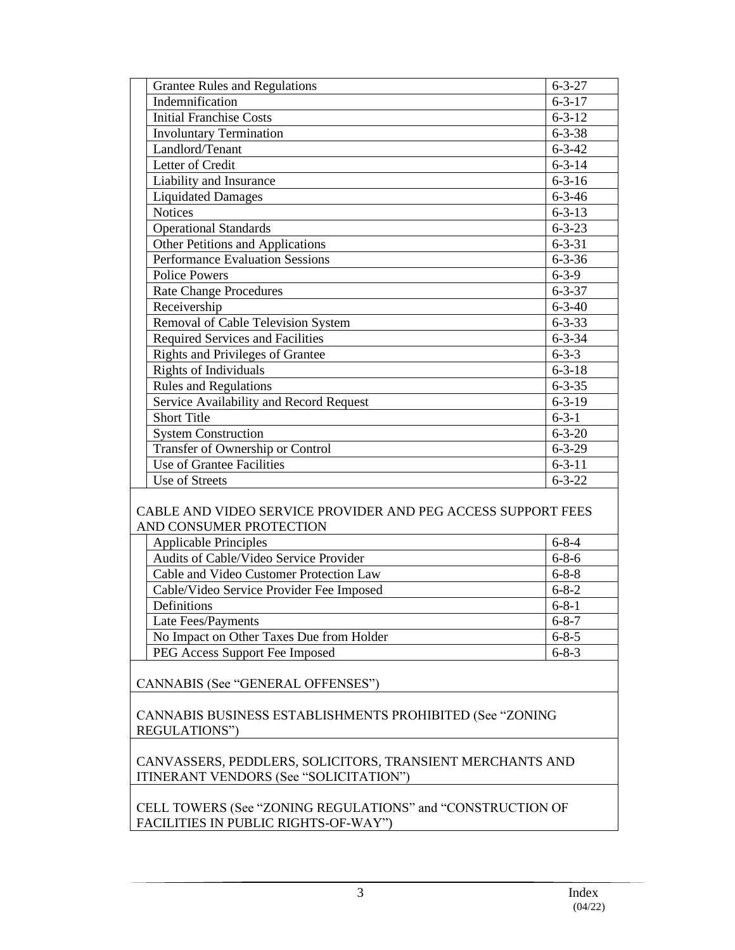| <b>Grantee Rules and Regulations</b>                         | $6 - 3 - 27$ |  |
|--------------------------------------------------------------|--------------|--|
| Indemnification                                              | $6 - 3 - 17$ |  |
| <b>Initial Franchise Costs</b>                               | $6 - 3 - 12$ |  |
| <b>Involuntary Termination</b>                               | $6 - 3 - 38$ |  |
| Landlord/Tenant                                              | $6 - 3 - 42$ |  |
| Letter of Credit                                             | $6 - 3 - 14$ |  |
| Liability and Insurance                                      | $6 - 3 - 16$ |  |
| <b>Liquidated Damages</b>                                    | $6 - 3 - 46$ |  |
| <b>Notices</b>                                               | $6 - 3 - 13$ |  |
| <b>Operational Standards</b>                                 | $6 - 3 - 23$ |  |
| Other Petitions and Applications                             | $6 - 3 - 31$ |  |
| <b>Performance Evaluation Sessions</b>                       | $6 - 3 - 36$ |  |
| <b>Police Powers</b>                                         | $6 - 3 - 9$  |  |
| <b>Rate Change Procedures</b>                                | $6 - 3 - 37$ |  |
| Receivership                                                 | $6 - 3 - 40$ |  |
| Removal of Cable Television System                           | $6 - 3 - 33$ |  |
| <b>Required Services and Facilities</b>                      | $6 - 3 - 34$ |  |
| <b>Rights and Privileges of Grantee</b>                      | $6 - 3 - 3$  |  |
| <b>Rights of Individuals</b>                                 | $6 - 3 - 18$ |  |
| <b>Rules and Regulations</b>                                 | $6 - 3 - 35$ |  |
| Service Availability and Record Request                      | $6 - 3 - 19$ |  |
| <b>Short Title</b>                                           | $6 - 3 - 1$  |  |
| <b>System Construction</b>                                   | $6 - 3 - 20$ |  |
| Transfer of Ownership or Control                             | $6 - 3 - 29$ |  |
| Use of Grantee Facilities                                    | $6 - 3 - 11$ |  |
| Use of Streets                                               | $6 - 3 - 22$ |  |
| CABLE AND VIDEO SERVICE PROVIDER AND PEG ACCESS SUPPORT FEES |              |  |

## AND CONSUMER PROTECTION

| <b>Applicable Principles</b>             | $6 - 8 - 4$ |
|------------------------------------------|-------------|
| Audits of Cable/Video Service Provider   | $6 - 8 - 6$ |
| Cable and Video Customer Protection Law  | $6 - 8 - 8$ |
| Cable/Video Service Provider Fee Imposed | $6 - 8 - 2$ |
| Definitions                              | $6 - 8 - 1$ |
| Late Fees/Payments                       | $6 - 8 - 7$ |
| No Impact on Other Taxes Due from Holder | $6 - 8 - 5$ |
| PEG Access Support Fee Imposed           | $6 - 8 - 3$ |

CANNABIS (See "GENERAL OFFENSES")

CANNABIS BUSINESS ESTABLISHMENTS PROHIBITED (See "ZONING REGULATIONS")

CANVASSERS, PEDDLERS, SOLICITORS, TRANSIENT MERCHANTS AND ITINERANT VENDORS (See "SOLICITATION")

CELL TOWERS (See "ZONING REGULATIONS" and "CONSTRUCTION OF FACILITIES IN PUBLIC RIGHTS-OF-WAY")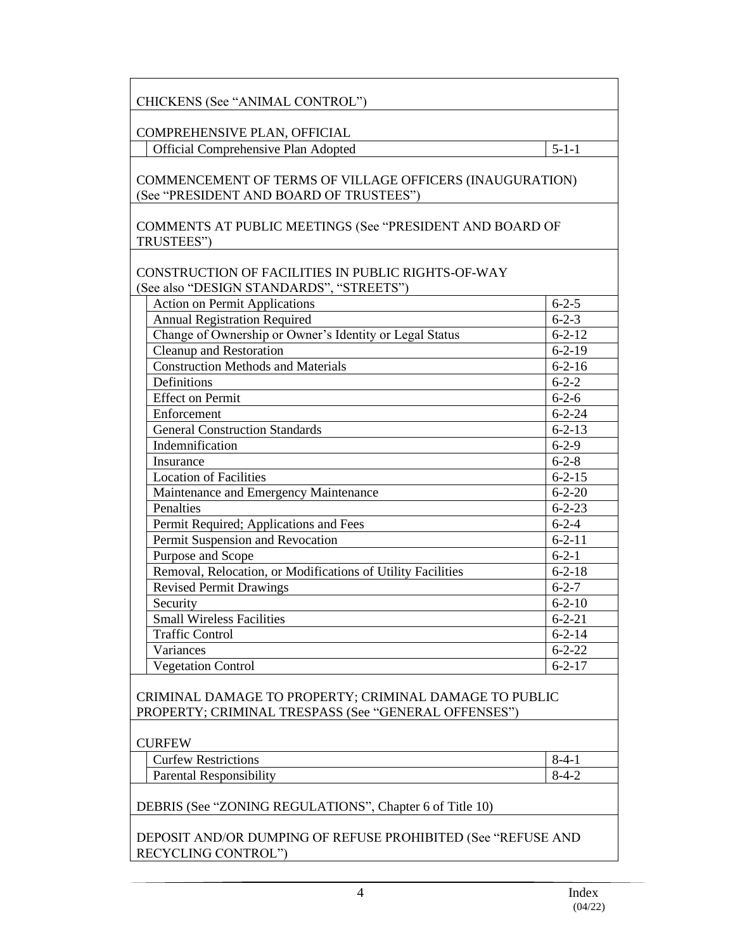| CHICKENS (See "ANIMAL CONTROL")                                                                                |              |  |
|----------------------------------------------------------------------------------------------------------------|--------------|--|
| COMPREHENSIVE PLAN, OFFICIAL                                                                                   |              |  |
| Official Comprehensive Plan Adopted                                                                            | $5 - 1 - 1$  |  |
| COMMENCEMENT OF TERMS OF VILLAGE OFFICERS (INAUGURATION)<br>(See "PRESIDENT AND BOARD OF TRUSTEES")            |              |  |
| COMMENTS AT PUBLIC MEETINGS (See "PRESIDENT AND BOARD OF<br>TRUSTEES")                                         |              |  |
| CONSTRUCTION OF FACILITIES IN PUBLIC RIGHTS-OF-WAY<br>(See also "DESIGN STANDARDS", "STREETS")                 |              |  |
| <b>Action on Permit Applications</b>                                                                           | $6 - 2 - 5$  |  |
| <b>Annual Registration Required</b>                                                                            | $6 - 2 - 3$  |  |
| Change of Ownership or Owner's Identity or Legal Status                                                        | $6 - 2 - 12$ |  |
| Cleanup and Restoration                                                                                        | $6 - 2 - 19$ |  |
| <b>Construction Methods and Materials</b>                                                                      | $6 - 2 - 16$ |  |
| Definitions                                                                                                    | $6 - 2 - 2$  |  |
| <b>Effect on Permit</b>                                                                                        | $6 - 2 - 6$  |  |
| Enforcement                                                                                                    | $6 - 2 - 24$ |  |
| <b>General Construction Standards</b>                                                                          | $6 - 2 - 13$ |  |
| Indemnification                                                                                                | $6 - 2 - 9$  |  |
| Insurance                                                                                                      | $6 - 2 - 8$  |  |
| <b>Location of Facilities</b>                                                                                  | $6 - 2 - 15$ |  |
| Maintenance and Emergency Maintenance                                                                          | $6 - 2 - 20$ |  |
| Penalties                                                                                                      | $6 - 2 - 23$ |  |
| Permit Required; Applications and Fees                                                                         | $6 - 2 - 4$  |  |
| Permit Suspension and Revocation                                                                               | $6 - 2 - 11$ |  |
| Purpose and Scope                                                                                              | $6 - 2 - 1$  |  |
| Removal, Relocation, or Modifications of Utility Facilities                                                    | $6 - 2 - 18$ |  |
| <b>Revised Permit Drawings</b>                                                                                 | $6 - 2 - 7$  |  |
| Security                                                                                                       | $6 - 2 - 10$ |  |
| <b>Small Wireless Facilities</b>                                                                               | $6 - 2 - 21$ |  |
| <b>Traffic Control</b>                                                                                         | $6 - 2 - 14$ |  |
| Variances                                                                                                      | $6 - 2 - 22$ |  |
| <b>Vegetation Control</b>                                                                                      | $6 - 2 - 17$ |  |
| CRIMINAL DAMAGE TO PROPERTY; CRIMINAL DAMAGE TO PUBLIC<br>PROPERTY; CRIMINAL TRESPASS (See "GENERAL OFFENSES") |              |  |
| <b>CURFEW</b>                                                                                                  |              |  |
| <b>Curfew Restrictions</b>                                                                                     | $8-4-1$      |  |
| <b>Parental Responsibility</b>                                                                                 | $8-4-2$      |  |
| DEBRIS (See "ZONING REGULATIONS", Chapter 6 of Title 10)                                                       |              |  |
| DEPOSIT AND/OR DUMPING OF REFUSE PROHIBITED (See "REFUSE AND<br>RECYCLING CONTROL")                            |              |  |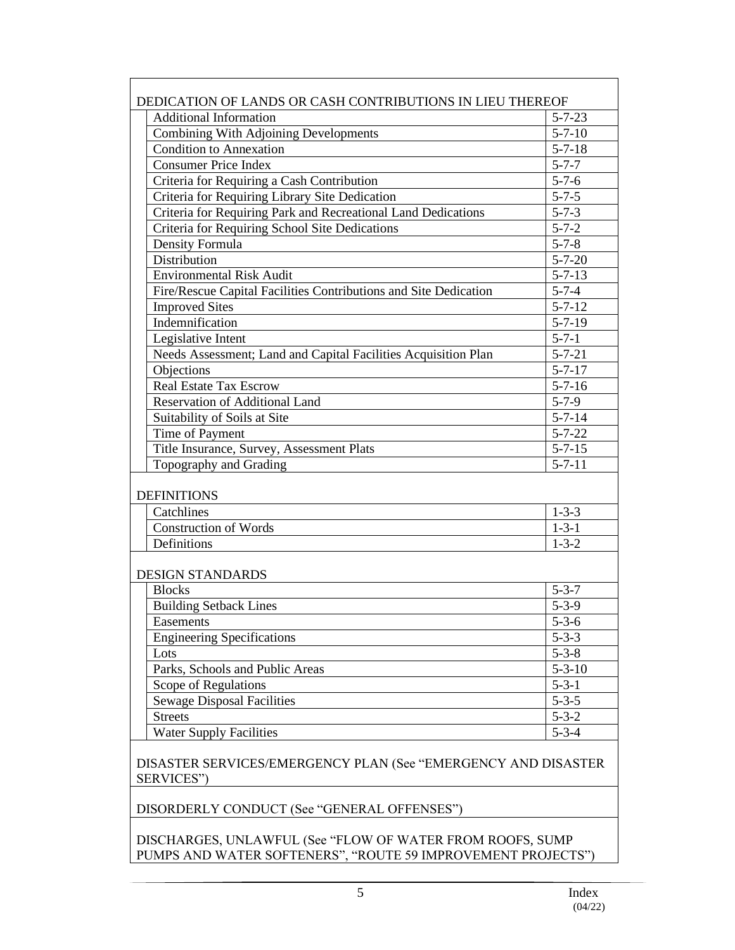| DEDICATION OF LANDS OR CASH CONTRIBUTIONS IN LIEU THEREOF |                                                                  |              |  |
|-----------------------------------------------------------|------------------------------------------------------------------|--------------|--|
|                                                           | <b>Additional Information</b><br>$5 - 7 - 23$                    |              |  |
|                                                           | <b>Combining With Adjoining Developments</b>                     | $5 - 7 - 10$ |  |
| <b>Condition to Annexation</b>                            |                                                                  | $5 - 7 - 18$ |  |
| <b>Consumer Price Index</b>                               |                                                                  | $5 - 7 - 7$  |  |
|                                                           | Criteria for Requiring a Cash Contribution                       | $5 - 7 - 6$  |  |
|                                                           | Criteria for Requiring Library Site Dedication                   | $5 - 7 - 5$  |  |
|                                                           | Criteria for Requiring Park and Recreational Land Dedications    | $5 - 7 - 3$  |  |
|                                                           | Criteria for Requiring School Site Dedications                   | $5 - 7 - 2$  |  |
| Density Formula                                           |                                                                  | $5 - 7 - 8$  |  |
| Distribution                                              |                                                                  | $5 - 7 - 20$ |  |
| <b>Environmental Risk Audit</b>                           |                                                                  | $5 - 7 - 13$ |  |
|                                                           | Fire/Rescue Capital Facilities Contributions and Site Dedication | $5 - 7 - 4$  |  |
| <b>Improved Sites</b>                                     |                                                                  | $5 - 7 - 12$ |  |
| Indemnification                                           |                                                                  | $5 - 7 - 19$ |  |
| Legislative Intent                                        |                                                                  | $5 - 7 - 1$  |  |
|                                                           | Needs Assessment; Land and Capital Facilities Acquisition Plan   | $5 - 7 - 21$ |  |
| Objections                                                |                                                                  | $5 - 7 - 17$ |  |
| <b>Real Estate Tax Escrow</b>                             |                                                                  | $5 - 7 - 16$ |  |
|                                                           | Reservation of Additional Land                                   | $5 - 7 - 9$  |  |
| Suitability of Soils at Site                              |                                                                  | $5 - 7 - 14$ |  |
| Time of Payment                                           |                                                                  | $5 - 7 - 22$ |  |
|                                                           | Title Insurance, Survey, Assessment Plats                        | $5 - 7 - 15$ |  |
| Topography and Grading                                    |                                                                  | $5 - 7 - 11$ |  |
| <b>DEFINITIONS</b>                                        |                                                                  |              |  |
| Catchlines                                                |                                                                  | $1 - 3 - 3$  |  |
| <b>Construction of Words</b>                              |                                                                  | $1 - 3 - 1$  |  |
| Definitions                                               |                                                                  | $1 - 3 - 2$  |  |
| <b>DESIGN STANDARDS</b>                                   |                                                                  |              |  |
| <b>Blocks</b>                                             |                                                                  | $5 - 3 - 7$  |  |
| <b>Building Setback Lines</b>                             |                                                                  | $5 - 3 - 9$  |  |
| Easements                                                 |                                                                  | $5 - 3 - 6$  |  |
| <b>Engineering Specifications</b>                         |                                                                  | $5 - 3 - 3$  |  |
| Lots                                                      |                                                                  | $5 - 3 - 8$  |  |
|                                                           | Parks, Schools and Public Areas                                  | $5 - 3 - 10$ |  |
| Scope of Regulations                                      |                                                                  | $5 - 3 - 1$  |  |
| <b>Sewage Disposal Facilities</b>                         |                                                                  | $5 - 3 - 5$  |  |
| <b>Streets</b>                                            |                                                                  | $5 - 3 - 2$  |  |
| <b>Water Supply Facilities</b>                            |                                                                  | $5 - 3 - 4$  |  |
| SERVICES"                                                 | DISASTER SERVICES/EMERGENCY PLAN (See "EMERGENCY AND DISASTER    |              |  |

<u>SERVICES</u>

DISORDERLY CONDUCT (See "GENERAL OFFENSES")

DISCHARGES, UNLAWFUL (See "FLOW OF WATER FROM ROOFS, SUMP PUMPS AND WATER SOFTENERS", "ROUTE 59 IMPROVEMENT PROJECTS")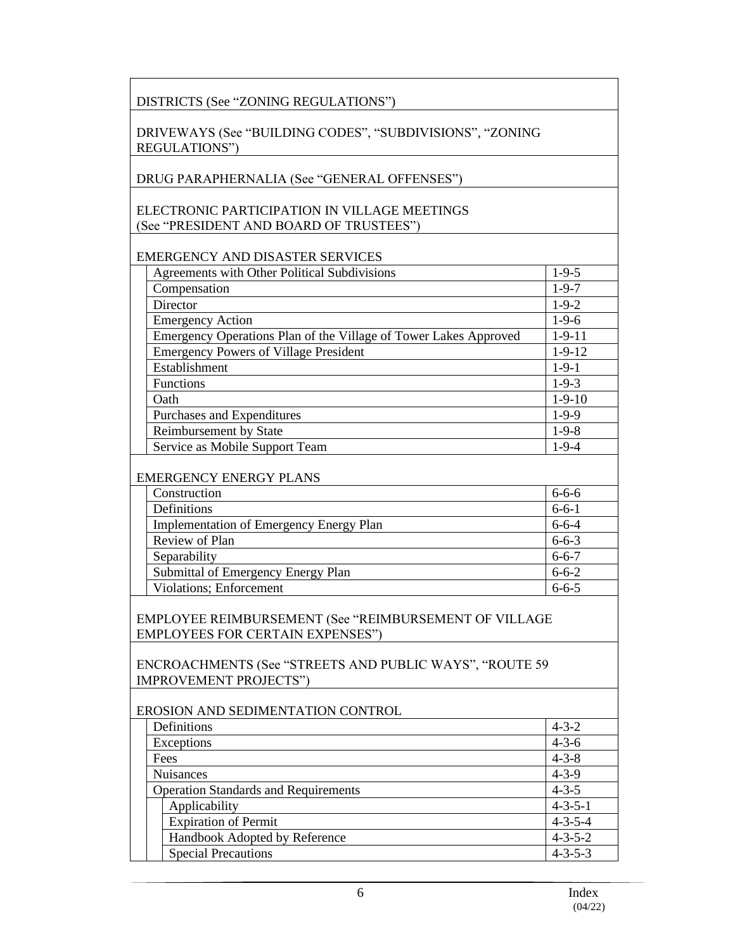| DISTRICTS (See "ZONING REGULATIONS")                                                             |                                    |
|--------------------------------------------------------------------------------------------------|------------------------------------|
| DRIVEWAYS (See "BUILDING CODES", "SUBDIVISIONS", "ZONING<br><b>REGULATIONS")</b>                 |                                    |
|                                                                                                  |                                    |
| DRUG PARAPHERNALIA (See "GENERAL OFFENSES")                                                      |                                    |
|                                                                                                  |                                    |
| ELECTRONIC PARTICIPATION IN VILLAGE MEETINGS                                                     |                                    |
| (See "PRESIDENT AND BOARD OF TRUSTEES")                                                          |                                    |
|                                                                                                  |                                    |
| <b>EMERGENCY AND DISASTER SERVICES</b>                                                           |                                    |
| Agreements with Other Political Subdivisions                                                     | $1-9-5$                            |
| Compensation                                                                                     | $1 - 9 - 7$                        |
| Director                                                                                         | $1-9-2$                            |
| <b>Emergency Action</b>                                                                          | $1-9-6$                            |
| Emergency Operations Plan of the Village of Tower Lakes Approved                                 | $1-9-11$                           |
| <b>Emergency Powers of Village President</b>                                                     | $1 - 9 - 12$                       |
| Establishment                                                                                    | $1 - 9 - 1$                        |
| Functions                                                                                        | $1 - 9 - 3$                        |
| Oath                                                                                             | $1-9-10$                           |
| Purchases and Expenditures                                                                       | $1-9-9$                            |
| Reimbursement by State                                                                           | $1-9-8$                            |
| Service as Mobile Support Team                                                                   | $1 - 9 - 4$                        |
| <b>EMERGENCY ENERGY PLANS</b>                                                                    |                                    |
| Construction                                                                                     | $6 - 6 - 6$                        |
| Definitions                                                                                      | $6 - 6 - 1$                        |
| <b>Implementation of Emergency Energy Plan</b>                                                   | $6 - 6 - 4$                        |
| Review of Plan                                                                                   | $6 - 6 - 3$                        |
| Separability                                                                                     | $6 - 6 - 7$                        |
| Submittal of Emergency Energy Plan                                                               | $6 - 6 - 2$                        |
| Violations; Enforcement                                                                          | $6 - 6 - 5$                        |
| EMPLOYEE REIMBURSEMENT (See "REIMBURSEMENT OF VILLAGE<br><b>EMPLOYEES FOR CERTAIN EXPENSES")</b> |                                    |
| ENCROACHMENTS (See "STREETS AND PUBLIC WAYS", "ROUTE 59<br><b>IMPROVEMENT PROJECTS")</b>         |                                    |
| EROSION AND SEDIMENTATION CONTROL                                                                |                                    |
| Definitions                                                                                      | $4 - 3 - 2$                        |
| Exceptions                                                                                       | $4 - 3 - 6$                        |
| Fees                                                                                             | $4 - 3 - 8$                        |
| <b>Nuisances</b>                                                                                 | $4 - 3 - 9$                        |
| <b>Operation Standards and Requirements</b>                                                      | $4 - 3 - 5$                        |
| Applicability                                                                                    | $4 - 3 - 5 - 1$                    |
| <b>Expiration of Permit</b>                                                                      | $4 - 3 - 5 - 4$                    |
|                                                                                                  |                                    |
| Handbook Adopted by Reference<br><b>Special Precautions</b>                                      | $4 - 3 - 5 - 2$<br>$4 - 3 - 5 - 3$ |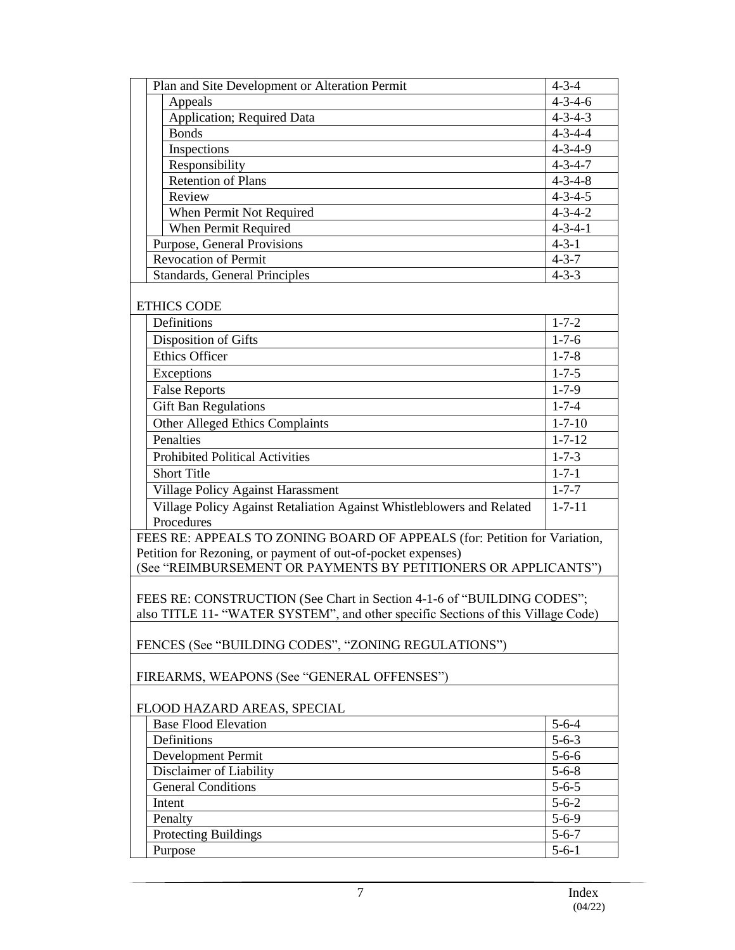|                       | Plan and Site Development or Alteration Permit                                   | $4 - 3 - 4$     |
|-----------------------|----------------------------------------------------------------------------------|-----------------|
| Appeals               |                                                                                  | $4 - 3 - 4 - 6$ |
|                       | Application; Required Data                                                       | $4 - 3 - 4 - 3$ |
| <b>Bonds</b>          |                                                                                  | $4 - 3 - 4 - 4$ |
|                       | Inspections                                                                      | $4 - 3 - 4 - 9$ |
|                       | Responsibility                                                                   | $4 - 3 - 4 - 7$ |
|                       | <b>Retention of Plans</b>                                                        | $4 - 3 - 4 - 8$ |
| Review                |                                                                                  | $4 - 3 - 4 - 5$ |
|                       | When Permit Not Required                                                         | $4 - 3 - 4 - 2$ |
|                       | When Permit Required                                                             | $4 - 3 - 4 - 1$ |
|                       | Purpose, General Provisions                                                      | $4 - 3 - 1$     |
|                       | <b>Revocation of Permit</b>                                                      | $4 - 3 - 7$     |
|                       | Standards, General Principles                                                    | $4 - 3 - 3$     |
|                       |                                                                                  |                 |
| <b>ETHICS CODE</b>    |                                                                                  |                 |
| Definitions           |                                                                                  | $1 - 7 - 2$     |
|                       | Disposition of Gifts                                                             | $1 - 7 - 6$     |
| <b>Ethics Officer</b> |                                                                                  | $1 - 7 - 8$     |
| Exceptions            |                                                                                  | $1 - 7 - 5$     |
| <b>False Reports</b>  |                                                                                  | $1 - 7 - 9$     |
|                       | <b>Gift Ban Regulations</b>                                                      | $1 - 7 - 4$     |
|                       | <b>Other Alleged Ethics Complaints</b>                                           | $1 - 7 - 10$    |
| Penalties             |                                                                                  | $1 - 7 - 12$    |
|                       | <b>Prohibited Political Activities</b>                                           | $1 - 7 - 3$     |
| <b>Short Title</b>    |                                                                                  | $1 - 7 - 1$     |
|                       | Village Policy Against Harassment                                                | $1 - 7 - 7$     |
|                       | Village Policy Against Retaliation Against Whistleblowers and Related            | $1 - 7 - 11$    |
| Procedures            |                                                                                  |                 |
|                       | FEES RE: APPEALS TO ZONING BOARD OF APPEALS (for: Petition for Variation,        |                 |
|                       | Petition for Rezoning, or payment of out-of-pocket expenses)                     |                 |
|                       | (See "REIMBURSEMENT OR PAYMENTS BY PETITIONERS OR APPLICANTS")                   |                 |
|                       |                                                                                  |                 |
|                       | FEES RE: CONSTRUCTION (See Chart in Section 4-1-6 of "BUILDING CODES";           |                 |
|                       | also TITLE 11- "WATER SYSTEM", and other specific Sections of this Village Code) |                 |
|                       | FENCES (See "BUILDING CODES", "ZONING REGULATIONS")                              |                 |
|                       |                                                                                  |                 |
|                       | FIREARMS, WEAPONS (See "GENERAL OFFENSES")                                       |                 |
|                       |                                                                                  |                 |
|                       | FLOOD HAZARD AREAS, SPECIAL                                                      |                 |
|                       | <b>Base Flood Elevation</b>                                                      | $5 - 6 - 4$     |
| Definitions           |                                                                                  | $5 - 6 - 3$     |
|                       | Development Permit                                                               | $5 - 6 - 6$     |
|                       | Disclaimer of Liability                                                          | $5 - 6 - 8$     |
|                       | <b>General Conditions</b>                                                        | $5 - 6 - 5$     |
| Intent                |                                                                                  | $5 - 6 - 2$     |
| Penalty               |                                                                                  | $5 - 6 - 9$     |
|                       | <b>Protecting Buildings</b>                                                      | $5 - 6 - 7$     |
| Purpose               |                                                                                  | $5 - 6 - 1$     |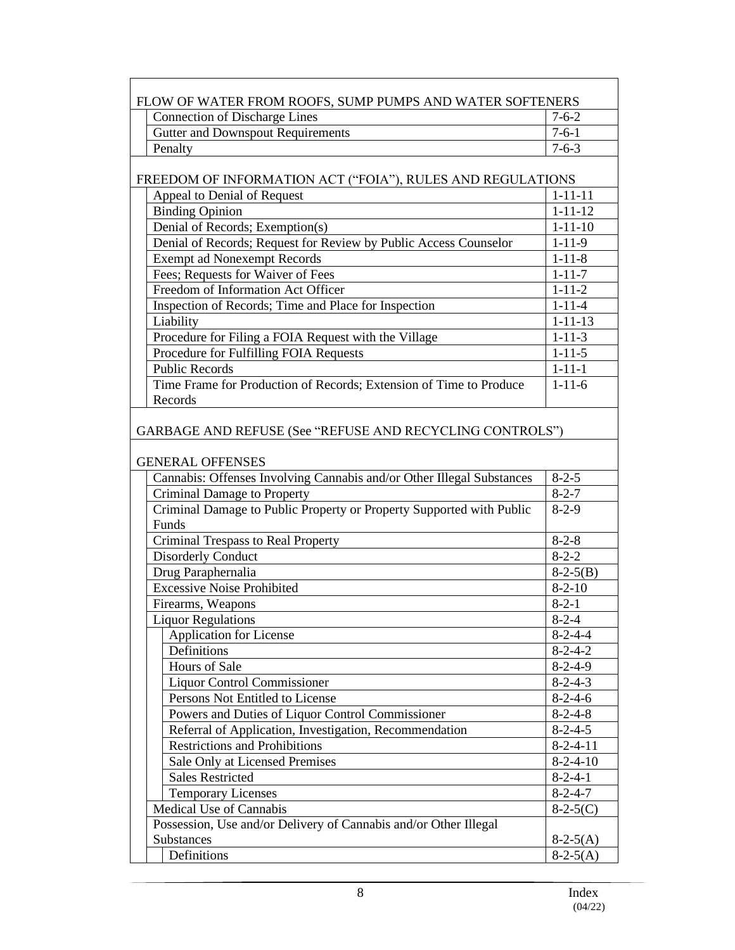| FLOW OF WATER FROM ROOFS, SUMP PUMPS AND WATER SOFTENERS |                                                                               |                 |  |
|----------------------------------------------------------|-------------------------------------------------------------------------------|-----------------|--|
|                                                          | <b>Connection of Discharge Lines</b><br>$7 - 6 - 2$                           |                 |  |
|                                                          | <b>Gutter and Downspout Requirements</b>                                      | $7 - 6 - 1$     |  |
|                                                          | Penalty                                                                       | $7 - 6 - 3$     |  |
|                                                          |                                                                               |                 |  |
|                                                          | FREEDOM OF INFORMATION ACT ("FOIA"), RULES AND REGULATIONS                    |                 |  |
|                                                          | Appeal to Denial of Request                                                   | $1 - 11 - 11$   |  |
|                                                          | <b>Binding Opinion</b>                                                        | $1 - 11 - 12$   |  |
|                                                          | Denial of Records; Exemption(s)                                               | $1 - 11 - 10$   |  |
|                                                          | Denial of Records; Request for Review by Public Access Counselor              | $1 - 11 - 9$    |  |
|                                                          | <b>Exempt ad Nonexempt Records</b>                                            | $1 - 11 - 8$    |  |
|                                                          | Fees; Requests for Waiver of Fees                                             | $1 - 11 - 7$    |  |
|                                                          | Freedom of Information Act Officer                                            | $1 - 11 - 2$    |  |
|                                                          | Inspection of Records; Time and Place for Inspection                          | $1 - 11 - 4$    |  |
|                                                          | Liability                                                                     | $1 - 11 - 13$   |  |
|                                                          | Procedure for Filing a FOIA Request with the Village                          | $1 - 11 - 3$    |  |
|                                                          | Procedure for Fulfilling FOIA Requests                                        | $1 - 11 - 5$    |  |
|                                                          | <b>Public Records</b>                                                         | $1 - 11 - 1$    |  |
|                                                          | Time Frame for Production of Records; Extension of Time to Produce            | $1 - 11 - 6$    |  |
|                                                          | Records                                                                       |                 |  |
|                                                          | GARBAGE AND REFUSE (See "REFUSE AND RECYCLING CONTROLS")                      |                 |  |
|                                                          | <b>GENERAL OFFENSES</b>                                                       |                 |  |
|                                                          | Cannabis: Offenses Involving Cannabis and/or Other Illegal Substances         | $8 - 2 - 5$     |  |
|                                                          | Criminal Damage to Property                                                   | $8 - 2 - 7$     |  |
|                                                          | Criminal Damage to Public Property or Property Supported with Public<br>Funds | $8-2-9$         |  |
|                                                          | <b>Criminal Trespass to Real Property</b>                                     | $8 - 2 - 8$     |  |
|                                                          | <b>Disorderly Conduct</b>                                                     | $8 - 2 - 2$     |  |
|                                                          | Drug Paraphernalia                                                            | $8-2-5(B)$      |  |
|                                                          | <b>Excessive Noise Prohibited</b>                                             | $8 - 2 - 10$    |  |
|                                                          | Firearms, Weapons                                                             | $8 - 2 - 1$     |  |
|                                                          | <b>Liquor Regulations</b>                                                     | $8 - 2 - 4$     |  |
|                                                          | Application for License                                                       | $8 - 2 - 4 - 4$ |  |
|                                                          | Definitions                                                                   | $8 - 2 - 4 - 2$ |  |
|                                                          | Hours of Sale                                                                 | $8-2-4-9$       |  |
|                                                          | <b>Liquor Control Commissioner</b>                                            | $8 - 2 - 4 - 3$ |  |
|                                                          | Persons Not Entitled to License                                               | $8-2-4-6$       |  |
|                                                          | Powers and Duties of Liquor Control Commissioner                              | $8 - 2 - 4 - 8$ |  |
|                                                          | Referral of Application, Investigation, Recommendation                        | $8 - 2 - 4 - 5$ |  |
|                                                          | <b>Restrictions and Prohibitions</b>                                          | $8-2-4-11$      |  |
|                                                          | Sale Only at Licensed Premises                                                | $8-2-4-10$      |  |
|                                                          | <b>Sales Restricted</b>                                                       | $8 - 2 - 4 - 1$ |  |
|                                                          | <b>Temporary Licenses</b>                                                     | $8 - 2 - 4 - 7$ |  |
|                                                          | Medical Use of Cannabis                                                       | $8-2-5(C)$      |  |
|                                                          | Possession, Use and/or Delivery of Cannabis and/or Other Illegal              |                 |  |
|                                                          | <b>Substances</b>                                                             | $8-2-5(A)$      |  |
|                                                          | Definitions                                                                   | $8-2-5(A)$      |  |
|                                                          |                                                                               |                 |  |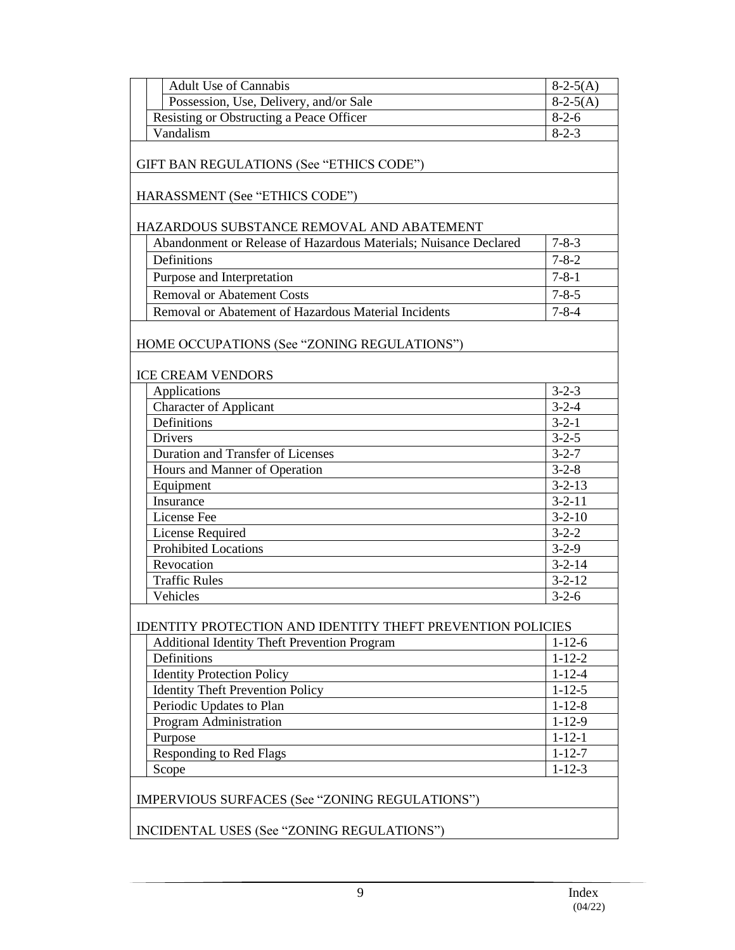| <b>Adult Use of Cannabis</b>                                            | $8-2-5(A)$   |  |
|-------------------------------------------------------------------------|--------------|--|
| Possession, Use, Delivery, and/or Sale                                  | $8-2-5(A)$   |  |
| Resisting or Obstructing a Peace Officer                                | $8-2-6$      |  |
| Vandalism                                                               | $8 - 2 - 3$  |  |
| GIFT BAN REGULATIONS (See "ETHICS CODE")                                |              |  |
| HARASSMENT (See "ETHICS CODE")                                          |              |  |
| HAZARDOUS SUBSTANCE REMOVAL AND ABATEMENT                               |              |  |
| Abandonment or Release of Hazardous Materials; Nuisance Declared        | $7 - 8 - 3$  |  |
| Definitions                                                             | $7 - 8 - 2$  |  |
| Purpose and Interpretation                                              | $7 - 8 - 1$  |  |
| <b>Removal or Abatement Costs</b>                                       | $7 - 8 - 5$  |  |
| Removal or Abatement of Hazardous Material Incidents                    | $7 - 8 - 4$  |  |
| HOME OCCUPATIONS (See "ZONING REGULATIONS")<br><b>ICE CREAM VENDORS</b> |              |  |
| Applications                                                            | $3 - 2 - 3$  |  |
| <b>Character of Applicant</b>                                           | $3 - 2 - 4$  |  |
| Definitions                                                             | $3 - 2 - 1$  |  |
| <b>Drivers</b>                                                          | $3 - 2 - 5$  |  |
| Duration and Transfer of Licenses                                       | $3 - 2 - 7$  |  |
| Hours and Manner of Operation                                           | $3 - 2 - 8$  |  |
| Equipment                                                               | $3 - 2 - 13$ |  |
| Insurance                                                               | $3 - 2 - 11$ |  |
| License Fee                                                             | $3 - 2 - 10$ |  |
| License Required                                                        | $3 - 2 - 2$  |  |
| <b>Prohibited Locations</b>                                             | $3 - 2 - 9$  |  |
| Revocation                                                              | $3 - 2 - 14$ |  |
| <b>Traffic Rules</b>                                                    | $3 - 2 - 12$ |  |
| Vehicles                                                                | $3 - 2 - 6$  |  |
| <b>IDENTITY PROTECTION AND IDENTITY THEFT PREVENTION POLICIES</b>       |              |  |
| <b>Additional Identity Theft Prevention Program</b>                     | $1 - 12 - 6$ |  |
| Definitions                                                             | $1 - 12 - 2$ |  |
| <b>Identity Protection Policy</b>                                       | $1 - 12 - 4$ |  |
| <b>Identity Theft Prevention Policy</b>                                 | $1 - 12 - 5$ |  |
| Periodic Updates to Plan                                                | $1 - 12 - 8$ |  |
| Program Administration                                                  | $1 - 12 - 9$ |  |
| Purpose                                                                 | $1 - 12 - 1$ |  |
| <b>Responding to Red Flags</b>                                          | $1 - 12 - 7$ |  |
| Scope                                                                   | $1 - 12 - 3$ |  |
| IMPERVIOUS SURFACES (See "ZONING REGULATIONS")                          |              |  |
| INCIDENTAL USES (See "ZONING REGULATIONS")                              |              |  |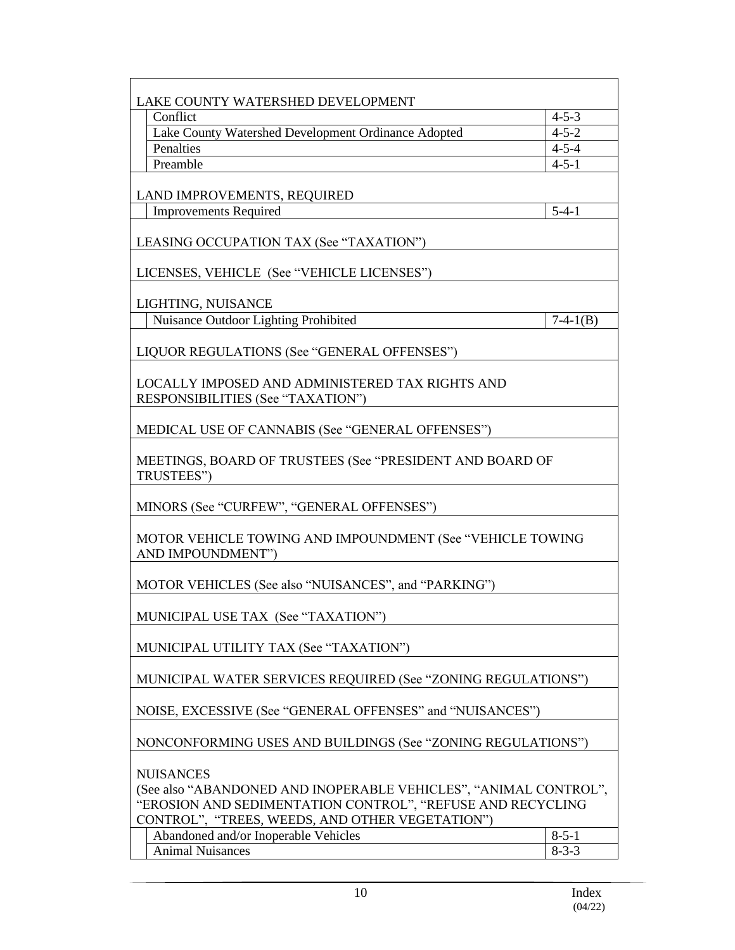| LAKE COUNTY WATERSHED DEVELOPMENT                                                                                                                                                                     |                                                              |  |  |
|-------------------------------------------------------------------------------------------------------------------------------------------------------------------------------------------------------|--------------------------------------------------------------|--|--|
| Conflict                                                                                                                                                                                              | $4 - 5 - 3$                                                  |  |  |
| Lake County Watershed Development Ordinance Adopted                                                                                                                                                   | $4 - 5 - 2$                                                  |  |  |
| Penalties                                                                                                                                                                                             | $4 - 5 - 4$                                                  |  |  |
| Preamble                                                                                                                                                                                              | $4 - 5 - 1$                                                  |  |  |
| LAND IMPROVEMENTS, REQUIRED                                                                                                                                                                           |                                                              |  |  |
| <b>Improvements Required</b>                                                                                                                                                                          | $5 - 4 - 1$                                                  |  |  |
|                                                                                                                                                                                                       |                                                              |  |  |
| LEASING OCCUPATION TAX (See "TAXATION")                                                                                                                                                               |                                                              |  |  |
| LICENSES, VEHICLE (See "VEHICLE LICENSES")                                                                                                                                                            |                                                              |  |  |
| LIGHTING, NUISANCE                                                                                                                                                                                    |                                                              |  |  |
| Nuisance Outdoor Lighting Prohibited                                                                                                                                                                  | $7-4-1(B)$                                                   |  |  |
| LIQUOR REGULATIONS (See "GENERAL OFFENSES")                                                                                                                                                           |                                                              |  |  |
| LOCALLY IMPOSED AND ADMINISTERED TAX RIGHTS AND<br>RESPONSIBILITIES (See "TAXATION")                                                                                                                  |                                                              |  |  |
| MEDICAL USE OF CANNABIS (See "GENERAL OFFENSES")                                                                                                                                                      |                                                              |  |  |
| MEETINGS, BOARD OF TRUSTEES (See "PRESIDENT AND BOARD OF<br>TRUSTEES")                                                                                                                                |                                                              |  |  |
| MINORS (See "CURFEW", "GENERAL OFFENSES")                                                                                                                                                             |                                                              |  |  |
| MOTOR VEHICLE TOWING AND IMPOUNDMENT (See "VEHICLE TOWING<br>AND IMPOUNDMENT")                                                                                                                        |                                                              |  |  |
| MOTOR VEHICLES (See also "NUISANCES", and "PARKING")                                                                                                                                                  |                                                              |  |  |
| MUNICIPAL USE TAX (See "TAXATION")                                                                                                                                                                    |                                                              |  |  |
| MUNICIPAL UTILITY TAX (See "TAXATION")                                                                                                                                                                |                                                              |  |  |
|                                                                                                                                                                                                       | MUNICIPAL WATER SERVICES REQUIRED (See "ZONING REGULATIONS") |  |  |
| NOISE, EXCESSIVE (See "GENERAL OFFENSES" and "NUISANCES")                                                                                                                                             |                                                              |  |  |
| NONCONFORMING USES AND BUILDINGS (See "ZONING REGULATIONS")                                                                                                                                           |                                                              |  |  |
| <b>NUISANCES</b><br>(See also "ABANDONED AND INOPERABLE VEHICLES", "ANIMAL CONTROL",<br>"EROSION AND SEDIMENTATION CONTROL", "REFUSE AND RECYCLING<br>CONTROL", "TREES, WEEDS, AND OTHER VEGETATION") |                                                              |  |  |
| Abandoned and/or Inoperable Vehicles                                                                                                                                                                  | $8 - 5 - 1$                                                  |  |  |
| <b>Animal Nuisances</b>                                                                                                                                                                               | $8 - 3 - 3$                                                  |  |  |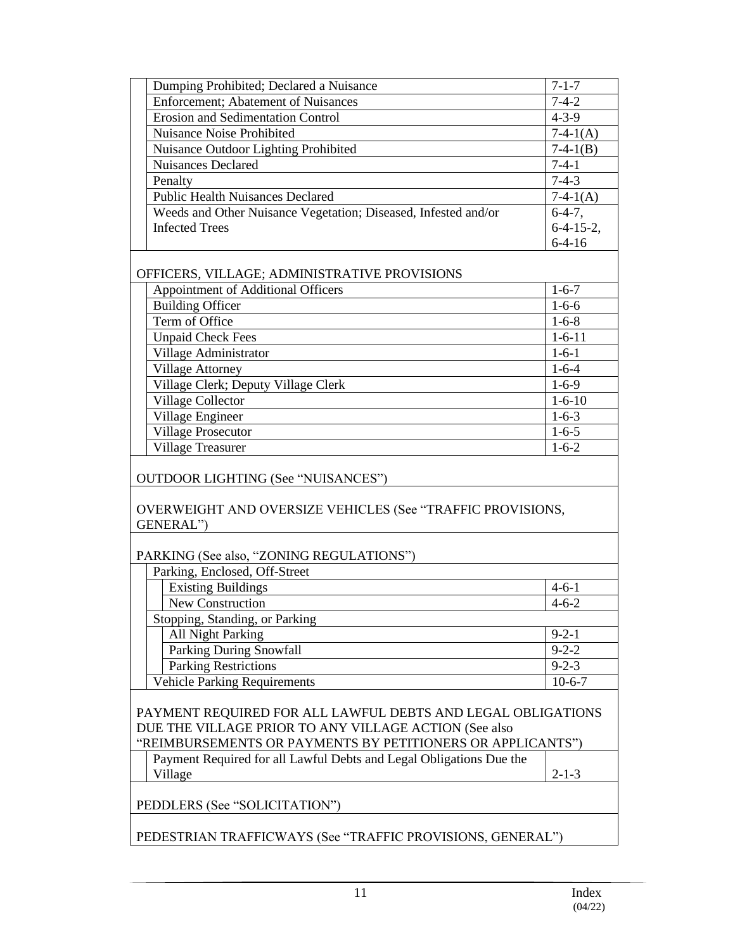| Dumping Prohibited; Declared a Nuisance                                                                                                                                            | $7 - 1 - 7$  |  |
|------------------------------------------------------------------------------------------------------------------------------------------------------------------------------------|--------------|--|
| <b>Enforcement</b> ; Abatement of Nuisances                                                                                                                                        | $7 - 4 - 2$  |  |
| <b>Erosion and Sedimentation Control</b>                                                                                                                                           | $4 - 3 - 9$  |  |
| Nuisance Noise Prohibited                                                                                                                                                          | $7-4-1(A)$   |  |
| Nuisance Outdoor Lighting Prohibited                                                                                                                                               | $7-4-1(B)$   |  |
| <b>Nuisances Declared</b>                                                                                                                                                          | $7-4-1$      |  |
| Penalty                                                                                                                                                                            | $7 - 4 - 3$  |  |
| <b>Public Health Nuisances Declared</b>                                                                                                                                            | $7-4-1(A)$   |  |
| Weeds and Other Nuisance Vegetation; Diseased, Infested and/or                                                                                                                     | $6-4-7$ ,    |  |
| <b>Infected Trees</b>                                                                                                                                                              | $6-4-15-2$ , |  |
|                                                                                                                                                                                    | $6-4-16$     |  |
| OFFICERS, VILLAGE; ADMINISTRATIVE PROVISIONS                                                                                                                                       |              |  |
| Appointment of Additional Officers                                                                                                                                                 | $1 - 6 - 7$  |  |
| <b>Building Officer</b>                                                                                                                                                            | $1 - 6 - 6$  |  |
| Term of Office                                                                                                                                                                     | $1 - 6 - 8$  |  |
| <b>Unpaid Check Fees</b>                                                                                                                                                           | $1 - 6 - 11$ |  |
| Village Administrator                                                                                                                                                              | $1 - 6 - 1$  |  |
| Village Attorney                                                                                                                                                                   | $1 - 6 - 4$  |  |
| Village Clerk; Deputy Village Clerk                                                                                                                                                | $1 - 6 - 9$  |  |
| Village Collector                                                                                                                                                                  | $1 - 6 - 10$ |  |
| Village Engineer                                                                                                                                                                   | $1-6-3$      |  |
| <b>Village Prosecutor</b>                                                                                                                                                          | $1-6-5$      |  |
| Village Treasurer                                                                                                                                                                  | $1 - 6 - 2$  |  |
| <b>OUTDOOR LIGHTING (See "NUISANCES")</b><br>OVERWEIGHT AND OVERSIZE VEHICLES (See "TRAFFIC PROVISIONS,<br>GENERAL")                                                               |              |  |
| PARKING (See also, "ZONING REGULATIONS")                                                                                                                                           |              |  |
| Parking, Enclosed, Off-Street                                                                                                                                                      |              |  |
| <b>Existing Buildings</b>                                                                                                                                                          | $4 - 6 - 1$  |  |
| <b>New Construction</b>                                                                                                                                                            | $4 - 6 - 2$  |  |
| Stopping, Standing, or Parking                                                                                                                                                     |              |  |
| All Night Parking                                                                                                                                                                  | $9 - 2 - 1$  |  |
| <b>Parking During Snowfall</b>                                                                                                                                                     | $9 - 2 - 2$  |  |
| <b>Parking Restrictions</b>                                                                                                                                                        | $9 - 2 - 3$  |  |
| <b>Vehicle Parking Requirements</b>                                                                                                                                                | $10-6-7$     |  |
| PAYMENT REQUIRED FOR ALL LAWFUL DEBTS AND LEGAL OBLIGATIONS<br>DUE THE VILLAGE PRIOR TO ANY VILLAGE ACTION (See also<br>"REIMBURSEMENTS OR PAYMENTS BY PETITIONERS OR APPLICANTS") |              |  |
| Payment Required for all Lawful Debts and Legal Obligations Due the                                                                                                                |              |  |
| Village                                                                                                                                                                            | $2 - 1 - 3$  |  |
| PEDDLERS (See "SOLICITATION")                                                                                                                                                      |              |  |
| PEDESTRIAN TRAFFICWAYS (See "TRAFFIC PROVISIONS, GENERAL")                                                                                                                         |              |  |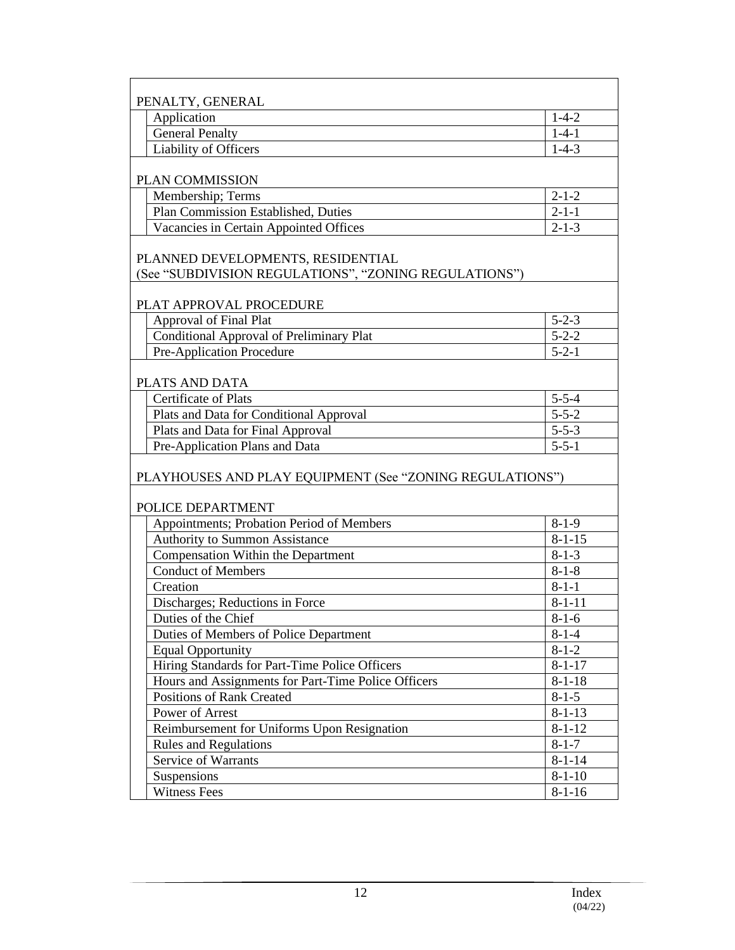| PENALTY, GENERAL                                                                           |              |  |
|--------------------------------------------------------------------------------------------|--------------|--|
| Application                                                                                | $1 - 4 - 2$  |  |
| <b>General Penalty</b>                                                                     | $1 - 4 - 1$  |  |
| <b>Liability of Officers</b>                                                               | $1-4-3$      |  |
| PLAN COMMISSION                                                                            |              |  |
| Membership; Terms                                                                          | $2 - 1 - 2$  |  |
| Plan Commission Established, Duties                                                        | $2 - 1 - 1$  |  |
| Vacancies in Certain Appointed Offices                                                     | $2 - 1 - 3$  |  |
| PLANNED DEVELOPMENTS, RESIDENTIAL<br>(See "SUBDIVISION REGULATIONS", "ZONING REGULATIONS") |              |  |
| PLAT APPROVAL PROCEDURE                                                                    |              |  |
| Approval of Final Plat                                                                     | $5 - 2 - 3$  |  |
| <b>Conditional Approval of Preliminary Plat</b>                                            | $5 - 2 - 2$  |  |
| Pre-Application Procedure                                                                  | $5 - 2 - 1$  |  |
| PLATS AND DATA                                                                             |              |  |
| Certificate of Plats                                                                       | $5 - 5 - 4$  |  |
| Plats and Data for Conditional Approval                                                    | $5 - 5 - 2$  |  |
| Plats and Data for Final Approval                                                          | $5 - 5 - 3$  |  |
| Pre-Application Plans and Data                                                             | $5 - 5 - 1$  |  |
| PLAYHOUSES AND PLAY EQUIPMENT (See "ZONING REGULATIONS")                                   |              |  |
| POLICE DEPARTMENT                                                                          |              |  |
| Appointments; Probation Period of Members                                                  | $8-1-9$      |  |
| Authority to Summon Assistance                                                             | $8 - 1 - 15$ |  |
| Compensation Within the Department                                                         | $8 - 1 - 3$  |  |
| <b>Conduct of Members</b>                                                                  | $8 - 1 - 8$  |  |
| Creation                                                                                   | $8 - 1 - 1$  |  |
| Discharges; Reductions in Force                                                            | $8 - 1 - 11$ |  |
| Duties of the Chief                                                                        | $8 - 1 - 6$  |  |
| Duties of Members of Police Department                                                     | $8 - 1 - 4$  |  |
| <b>Equal Opportunity</b>                                                                   | $8 - 1 - 2$  |  |
| Hiring Standards for Part-Time Police Officers                                             | $8 - 1 - 17$ |  |
| Hours and Assignments for Part-Time Police Officers                                        | $8 - 1 - 18$ |  |
| <b>Positions of Rank Created</b>                                                           | $8 - 1 - 5$  |  |
| Power of Arrest                                                                            | $8 - 1 - 13$ |  |
| Reimbursement for Uniforms Upon Resignation                                                | $8 - 1 - 12$ |  |
| <b>Rules and Regulations</b>                                                               | $8 - 1 - 7$  |  |
| Service of Warrants                                                                        | $8 - 1 - 14$ |  |
| Suspensions                                                                                | $8 - 1 - 10$ |  |
| <b>Witness Fees</b>                                                                        | $8-1-16$     |  |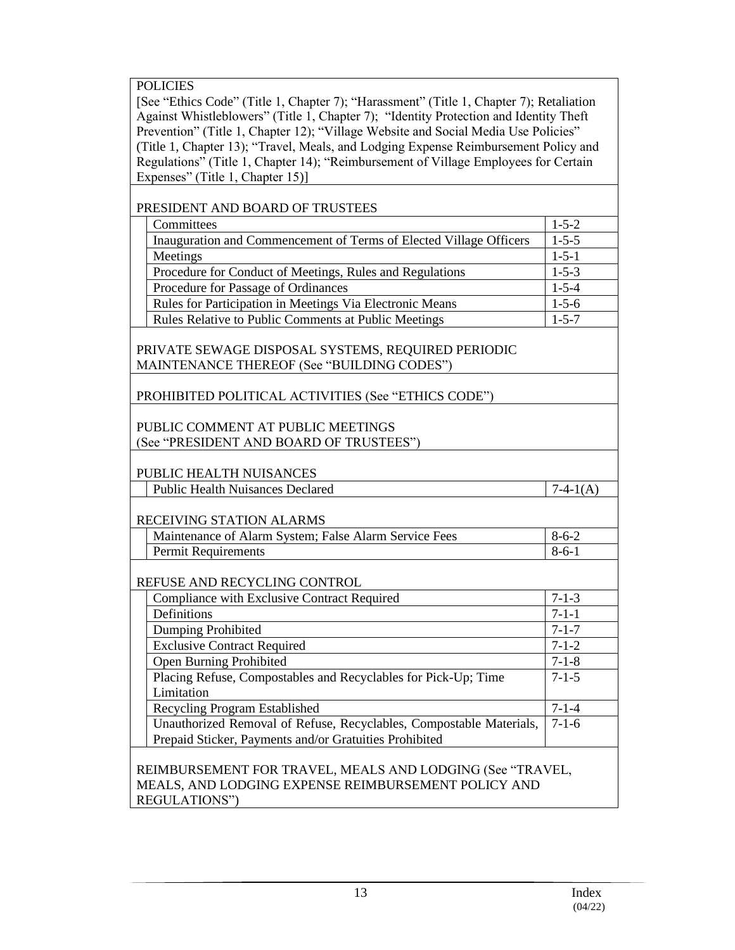POLICIES

[See "Ethics Code" (Title 1, Chapter 7); "Harassment" (Title 1, Chapter 7); Retaliation Against Whistleblowers" (Title 1, Chapter 7); "Identity Protection and Identity Theft Prevention" (Title 1, Chapter 12); "Village Website and Social Media Use Policies" (Title 1, Chapter 13); "Travel, Meals, and Lodging Expense Reimbursement Policy and Regulations" (Title 1, Chapter 14); "Reimbursement of Village Employees for Certain Expenses" (Title 1, Chapter 15)]

| PRESIDENT AND BOARD OF TRUSTEES                                                                                                   |             |  |
|-----------------------------------------------------------------------------------------------------------------------------------|-------------|--|
| Committees                                                                                                                        | $1 - 5 - 2$ |  |
| Inauguration and Commencement of Terms of Elected Village Officers                                                                | $1 - 5 - 5$ |  |
| Meetings                                                                                                                          | $1 - 5 - 1$ |  |
| Procedure for Conduct of Meetings, Rules and Regulations                                                                          | $1 - 5 - 3$ |  |
| Procedure for Passage of Ordinances                                                                                               | $1 - 5 - 4$ |  |
| Rules for Participation in Meetings Via Electronic Means                                                                          | $1 - 5 - 6$ |  |
| Rules Relative to Public Comments at Public Meetings                                                                              | $1 - 5 - 7$ |  |
|                                                                                                                                   |             |  |
| PRIVATE SEWAGE DISPOSAL SYSTEMS, REQUIRED PERIODIC                                                                                |             |  |
| MAINTENANCE THEREOF (See "BUILDING CODES")                                                                                        |             |  |
| PROHIBITED POLITICAL ACTIVITIES (See "ETHICS CODE")                                                                               |             |  |
|                                                                                                                                   |             |  |
| PUBLIC COMMENT AT PUBLIC MEETINGS                                                                                                 |             |  |
| (See "PRESIDENT AND BOARD OF TRUSTEES")                                                                                           |             |  |
| PUBLIC HEALTH NUISANCES                                                                                                           |             |  |
| <b>Public Health Nuisances Declared</b>                                                                                           | $7-4-1(A)$  |  |
|                                                                                                                                   |             |  |
| RECEIVING STATION ALARMS                                                                                                          |             |  |
| Maintenance of Alarm System; False Alarm Service Fees                                                                             | $8 - 6 - 2$ |  |
| <b>Permit Requirements</b>                                                                                                        | $8-6-1$     |  |
|                                                                                                                                   |             |  |
| REFUSE AND RECYCLING CONTROL                                                                                                      |             |  |
| Compliance with Exclusive Contract Required                                                                                       | $7 - 1 - 3$ |  |
| Definitions                                                                                                                       | $7 - 1 - 1$ |  |
| Dumping Prohibited                                                                                                                | $7 - 1 - 7$ |  |
| <b>Exclusive Contract Required</b>                                                                                                | $7 - 1 - 2$ |  |
| <b>Open Burning Prohibited</b>                                                                                                    | $7 - 1 - 8$ |  |
| Placing Refuse, Compostables and Recyclables for Pick-Up; Time                                                                    | $7 - 1 - 5$ |  |
| Limitation                                                                                                                        |             |  |
| Recycling Program Established                                                                                                     | $7 - 1 - 4$ |  |
| Unauthorized Removal of Refuse, Recyclables, Compostable Materials,                                                               | $7 - 1 - 6$ |  |
| Prepaid Sticker, Payments and/or Gratuities Prohibited                                                                            |             |  |
| REIMBURSEMENT FOR TRAVEL, MEALS AND LODGING (See "TRAVEL,<br>MEALS, AND LODGING EXPENSE REIMBURSEMENT POLICY AND<br>REGULATIONS") |             |  |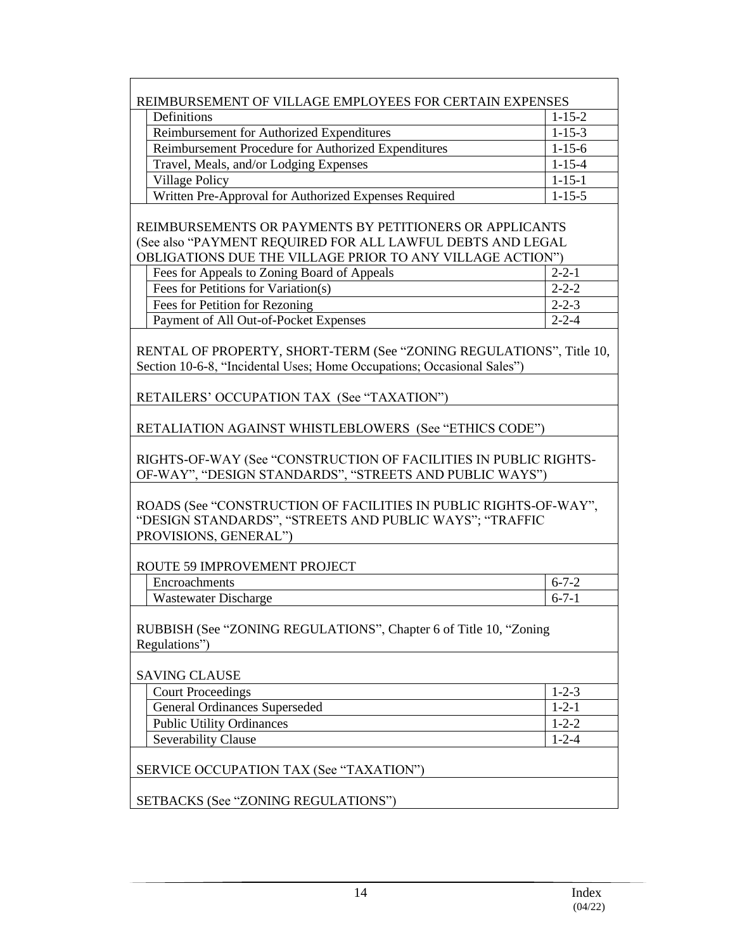| REIMBURSEMENT OF VILLAGE EMPLOYEES FOR CERTAIN EXPENSES                                                                                              |              |  |
|------------------------------------------------------------------------------------------------------------------------------------------------------|--------------|--|
| Definitions                                                                                                                                          | $1 - 15 - 2$ |  |
| Reimbursement for Authorized Expenditures                                                                                                            | $1 - 15 - 3$ |  |
| Reimbursement Procedure for Authorized Expenditures                                                                                                  | $1 - 15 - 6$ |  |
| Travel, Meals, and/or Lodging Expenses                                                                                                               | $1 - 15 - 4$ |  |
| <b>Village Policy</b>                                                                                                                                | $1 - 15 - 1$ |  |
| Written Pre-Approval for Authorized Expenses Required                                                                                                | $1 - 15 - 5$ |  |
|                                                                                                                                                      |              |  |
| REIMBURSEMENTS OR PAYMENTS BY PETITIONERS OR APPLICANTS                                                                                              |              |  |
| (See also "PAYMENT REQUIRED FOR ALL LAWFUL DEBTS AND LEGAL                                                                                           |              |  |
| OBLIGATIONS DUE THE VILLAGE PRIOR TO ANY VILLAGE ACTION")                                                                                            |              |  |
| Fees for Appeals to Zoning Board of Appeals                                                                                                          | $2 - 2 - 1$  |  |
| Fees for Petitions for Variation(s)                                                                                                                  | $2 - 2 - 2$  |  |
| Fees for Petition for Rezoning                                                                                                                       | $2 - 2 - 3$  |  |
| Payment of All Out-of-Pocket Expenses                                                                                                                | $2 - 2 - 4$  |  |
| RENTAL OF PROPERTY, SHORT-TERM (See "ZONING REGULATIONS", Title 10,<br>Section 10-6-8, "Incidental Uses; Home Occupations; Occasional Sales")        |              |  |
| RETAILERS' OCCUPATION TAX (See "TAXATION")                                                                                                           |              |  |
| RETALIATION AGAINST WHISTLEBLOWERS (See "ETHICS CODE")                                                                                               |              |  |
| RIGHTS-OF-WAY (See "CONSTRUCTION OF FACILITIES IN PUBLIC RIGHTS-<br>OF-WAY", "DESIGN STANDARDS", "STREETS AND PUBLIC WAYS")                          |              |  |
| ROADS (See "CONSTRUCTION OF FACILITIES IN PUBLIC RIGHTS-OF-WAY",<br>"DESIGN STANDARDS", "STREETS AND PUBLIC WAYS"; "TRAFFIC<br>PROVISIONS, GENERAL") |              |  |
|                                                                                                                                                      |              |  |
| ROUTE 59 IMPROVEMENT PROJECT                                                                                                                         |              |  |
| Encroachments                                                                                                                                        | $6 - 7 - 2$  |  |
| <b>Wastewater Discharge</b>                                                                                                                          | $6 - 7 - 1$  |  |
| RUBBISH (See "ZONING REGULATIONS", Chapter 6 of Title 10, "Zoning<br>Regulations")                                                                   |              |  |
| <b>SAVING CLAUSE</b>                                                                                                                                 |              |  |
| <b>Court Proceedings</b>                                                                                                                             | $1 - 2 - 3$  |  |
| General Ordinances Superseded                                                                                                                        | $1 - 2 - 1$  |  |
| <b>Public Utility Ordinances</b>                                                                                                                     | $1 - 2 - 2$  |  |
| <b>Severability Clause</b>                                                                                                                           | $1 - 2 - 4$  |  |
| SERVICE OCCUPATION TAX (See "TAXATION")                                                                                                              |              |  |
| SETBACKS (See "ZONING REGULATIONS")                                                                                                                  |              |  |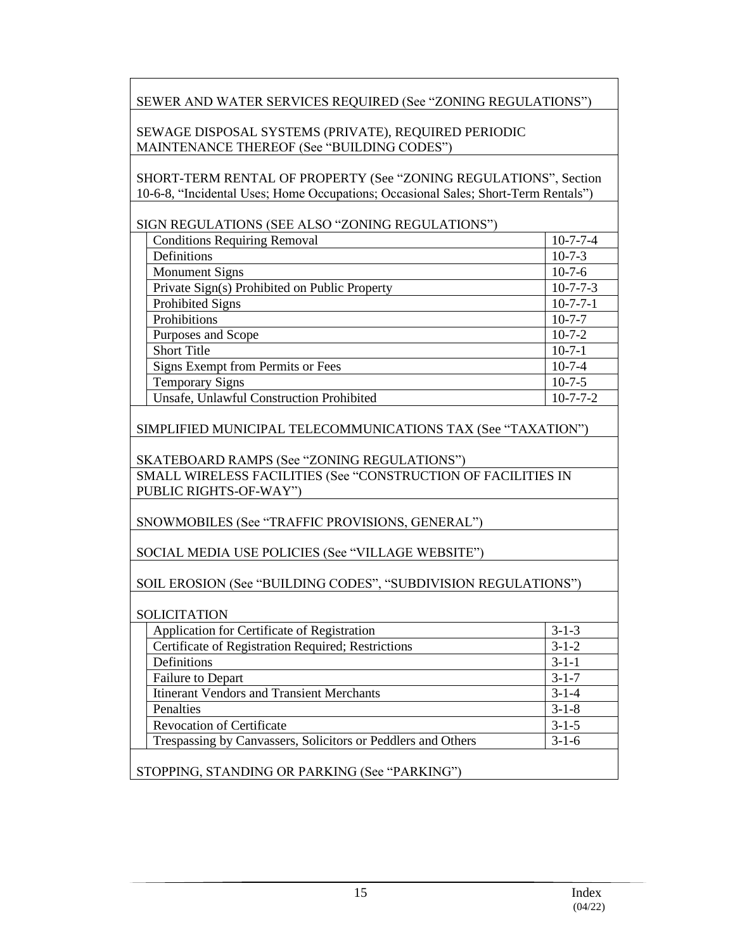SEWER AND WATER SERVICES REQUIRED (See "ZONING REGULATIONS")

SEWAGE DISPOSAL SYSTEMS (PRIVATE), REQUIRED PERIODIC MAINTENANCE THEREOF (See "BUILDING CODES")

SHORT-TERM RENTAL OF PROPERTY (See "ZONING REGULATIONS", Section 10-6-8, "Incidental Uses; Home Occupations; Occasional Sales; Short-Term Rentals")

SIGN REGULATIONS (SEE ALSO "ZONING REGULATIONS")

| <b>Conditions Requiring Removal</b>           | $10 - 7 - 7 - 4$ |
|-----------------------------------------------|------------------|
| Definitions                                   | $10 - 7 - 3$     |
| <b>Monument Signs</b>                         | $10-7-6$         |
| Private Sign(s) Prohibited on Public Property | $10 - 7 - 7 - 3$ |
| Prohibited Signs                              | $10-7-7-1$       |
| Prohibitions                                  | $10 - 7 - 7$     |
| Purposes and Scope                            | $10 - 7 - 2$     |
| <b>Short Title</b>                            | $10-7-1$         |
| Signs Exempt from Permits or Fees             | $10-7-4$         |
| <b>Temporary Signs</b>                        | $10 - 7 - 5$     |
| Unsafe, Unlawful Construction Prohibited      | $10 - 7 - 7 - 2$ |

SIMPLIFIED MUNICIPAL TELECOMMUNICATIONS TAX (See "TAXATION")

SKATEBOARD RAMPS (See "ZONING REGULATIONS")

SMALL WIRELESS FACILITIES (See "CONSTRUCTION OF FACILITIES IN PUBLIC RIGHTS-OF-WAY")

SNOWMOBILES (See "TRAFFIC PROVISIONS, GENERAL")

SOCIAL MEDIA USE POLICIES (See "VILLAGE WEBSITE")

SOIL EROSION (See "BUILDING CODES", "SUBDIVISION REGULATIONS")

**SOLICITATION** 

|                                               | Application for Certificate of Registration                  | $3 - 1 - 3$ |  |
|-----------------------------------------------|--------------------------------------------------------------|-------------|--|
|                                               | Certificate of Registration Required; Restrictions           | $3-1-2$     |  |
|                                               | Definitions                                                  | $3-1-1$     |  |
|                                               | <b>Failure to Depart</b>                                     | $3-1-7$     |  |
|                                               | <b>Itinerant Vendors and Transient Merchants</b>             | $3 - 1 - 4$ |  |
|                                               | Penalties                                                    | $3-1-8$     |  |
|                                               | <b>Revocation of Certificate</b>                             | $3 - 1 - 5$ |  |
|                                               | Trespassing by Canvassers, Solicitors or Peddlers and Others | $3-1-6$     |  |
|                                               |                                                              |             |  |
| STOPPING, STANDING OR PARKING (See "PARKING") |                                                              |             |  |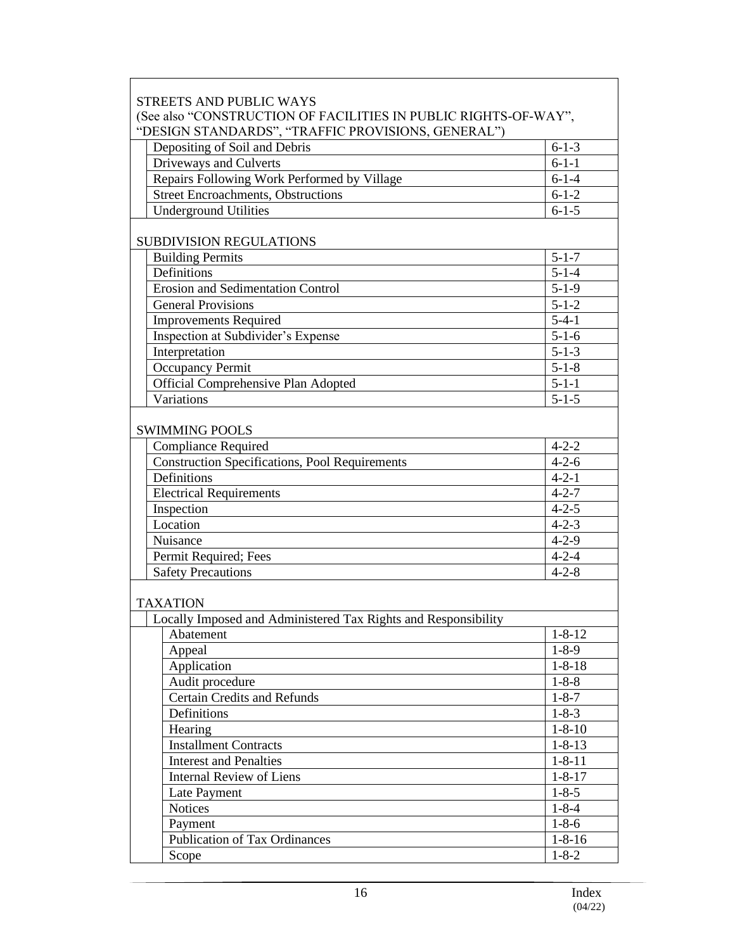| <b>STREETS AND PUBLIC WAYS</b>                                  |                        |  |  |
|-----------------------------------------------------------------|------------------------|--|--|
| (See also "CONSTRUCTION OF FACILITIES IN PUBLIC RIGHTS-OF-WAY", |                        |  |  |
| "DESIGN STANDARDS", "TRAFFIC PROVISIONS, GENERAL")              |                        |  |  |
| Depositing of Soil and Debris                                   | $6 - 1 - 3$            |  |  |
| Driveways and Culverts                                          | $6 - 1 - 1$            |  |  |
| Repairs Following Work Performed by Village                     | $6 - 1 - 4$            |  |  |
| <b>Street Encroachments, Obstructions</b>                       | $6 - 1 - 2$            |  |  |
| <b>Underground Utilities</b>                                    | $6 - 1 - 5$            |  |  |
|                                                                 |                        |  |  |
| SUBDIVISION REGULATIONS                                         |                        |  |  |
| <b>Building Permits</b>                                         | $5 - 1 - 7$            |  |  |
| Definitions                                                     | $5 - 1 - 4$            |  |  |
| <b>Erosion and Sedimentation Control</b>                        | $5 - 1 - 9$            |  |  |
| <b>General Provisions</b>                                       | $\overline{5} - 1 - 2$ |  |  |
| <b>Improvements Required</b>                                    | $5 - 4 - 1$            |  |  |
| Inspection at Subdivider's Expense                              | $5 - 1 - 6$            |  |  |
| Interpretation                                                  | $5 - 1 - 3$            |  |  |
| Occupancy Permit                                                | $5 - 1 - 8$            |  |  |
| Official Comprehensive Plan Adopted                             | $5 - 1 - 1$            |  |  |
| Variations                                                      | $\overline{5} - 1 - 5$ |  |  |
|                                                                 |                        |  |  |
| <b>SWIMMING POOLS</b>                                           |                        |  |  |
| <b>Compliance Required</b>                                      | $4 - 2 - 2$            |  |  |
| <b>Construction Specifications, Pool Requirements</b>           | $4 - 2 - 6$            |  |  |
| Definitions                                                     | $4 - 2 - 1$            |  |  |
| <b>Electrical Requirements</b>                                  | $4 - 2 - 7$            |  |  |
| Inspection                                                      | $4 - 2 - 5$            |  |  |
| Location                                                        | $4 - 2 - 3$            |  |  |
| Nuisance                                                        | $4 - 2 - 9$            |  |  |
| Permit Required; Fees                                           | $4 - 2 - 4$            |  |  |
| <b>Safety Precautions</b>                                       | $4 - 2 - 8$            |  |  |
|                                                                 |                        |  |  |
| <b>TAXATION</b>                                                 |                        |  |  |
| Locally Imposed and Administered Tax Rights and Responsibility  |                        |  |  |
| Abatement                                                       | $1 - 8 - 12$           |  |  |
| Appeal                                                          | $1 - 8 - 9$            |  |  |
| Application                                                     | $1 - 8 - 18$           |  |  |
| Audit procedure                                                 | $1 - 8 - 8$            |  |  |
| <b>Certain Credits and Refunds</b>                              | $1 - 8 - 7$            |  |  |
| Definitions                                                     | $1 - 8 - 3$            |  |  |
| Hearing                                                         | $1 - 8 - 10$           |  |  |
| <b>Installment Contracts</b>                                    | $1 - 8 - 13$           |  |  |
| <b>Interest and Penalties</b>                                   | $1 - 8 - 11$           |  |  |
| <b>Internal Review of Liens</b>                                 | $1 - 8 - 17$           |  |  |
| Late Payment                                                    | $1 - 8 - 5$            |  |  |
| Notices                                                         | $1 - 8 - 4$            |  |  |
| Payment                                                         | $1 - 8 - 6$            |  |  |
| <b>Publication of Tax Ordinances</b>                            | $1 - 8 - 16$           |  |  |
| Scope                                                           | $1 - 8 - 2$            |  |  |

 $\Gamma$ 

┑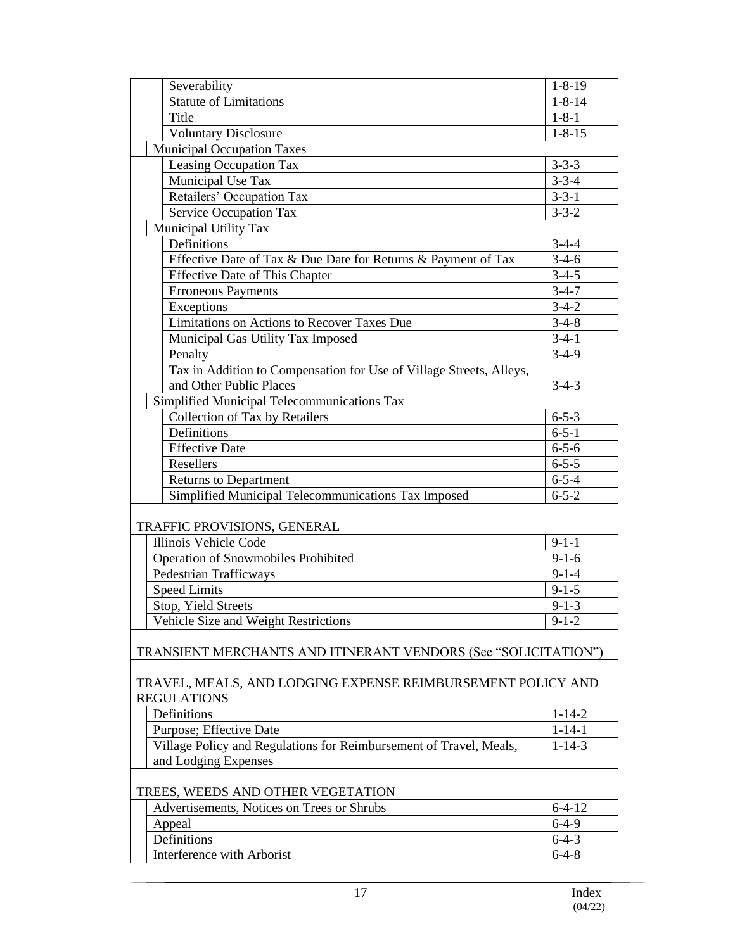|                                   | Severability                                                        | $1 - 8 - 19$           |  |
|-----------------------------------|---------------------------------------------------------------------|------------------------|--|
|                                   | <b>Statute of Limitations</b>                                       | $1 - 8 - 14$           |  |
|                                   | Title                                                               | $1 - 8 - 1$            |  |
|                                   | <b>Voluntary Disclosure</b>                                         | $1 - 8 - 15$           |  |
|                                   | <b>Municipal Occupation Taxes</b>                                   |                        |  |
|                                   | Leasing Occupation Tax                                              | $3 - 3 - 3$            |  |
|                                   | Municipal Use Tax                                                   | $3 - 3 - 4$            |  |
|                                   | Retailers' Occupation Tax                                           | $3 - 3 - 1$            |  |
|                                   | Service Occupation Tax                                              | $3 - 3 - 2$            |  |
|                                   | Municipal Utility Tax                                               |                        |  |
|                                   | Definitions                                                         | $3-4-4$                |  |
|                                   | Effective Date of Tax & Due Date for Returns & Payment of Tax       | $3-4-6$                |  |
|                                   | <b>Effective Date of This Chapter</b>                               | $\overline{3} - 4 - 5$ |  |
|                                   | <b>Erroneous Payments</b>                                           | $3-4-7$                |  |
|                                   | Exceptions                                                          | $3-4-2$                |  |
|                                   | Limitations on Actions to Recover Taxes Due                         | $3-4-8$                |  |
|                                   | Municipal Gas Utility Tax Imposed                                   | $3-4-1$                |  |
|                                   | Penalty                                                             | $3-4-9$                |  |
|                                   | Tax in Addition to Compensation for Use of Village Streets, Alleys, |                        |  |
|                                   | and Other Public Places                                             | $3-4-3$                |  |
|                                   | Simplified Municipal Telecommunications Tax                         |                        |  |
|                                   | Collection of Tax by Retailers                                      | $6 - 5 - 3$            |  |
|                                   | Definitions                                                         | $6 - 5 - 1$            |  |
|                                   | <b>Effective Date</b>                                               | $6 - 5 - 6$            |  |
|                                   | Resellers                                                           | $6 - 5 - 5$            |  |
|                                   | <b>Returns to Department</b>                                        | $6 - 5 - 4$            |  |
|                                   | Simplified Municipal Telecommunications Tax Imposed                 | $6 - 5 - 2$            |  |
|                                   |                                                                     |                        |  |
|                                   | TRAFFIC PROVISIONS, GENERAL                                         |                        |  |
|                                   | Illinois Vehicle Code                                               | $9 - 1 - 1$            |  |
|                                   | Operation of Snowmobiles Prohibited                                 | $9 - 1 - 6$            |  |
|                                   | <b>Pedestrian Trafficways</b>                                       | $9 - 1 - 4$            |  |
|                                   | <b>Speed Limits</b>                                                 | $9 - 1 - 5$            |  |
|                                   | Stop, Yield Streets                                                 | $9 - 1 - 3$            |  |
|                                   | Vehicle Size and Weight Restrictions                                | $9 - 1 - 2$            |  |
|                                   |                                                                     |                        |  |
|                                   | TRANSIENT MERCHANTS AND ITINERANT VENDORS (See "SOLICITATION")      |                        |  |
|                                   |                                                                     |                        |  |
|                                   | TRAVEL, MEALS, AND LODGING EXPENSE REIMBURSEMENT POLICY AND         |                        |  |
|                                   | <b>REGULATIONS</b>                                                  |                        |  |
|                                   | Definitions                                                         | $1 - 14 - 2$           |  |
|                                   | Purpose; Effective Date                                             | $1 - 14 - 1$           |  |
|                                   | Village Policy and Regulations for Reimbursement of Travel, Meals,  | $1 - 14 - 3$           |  |
|                                   | and Lodging Expenses                                                |                        |  |
|                                   |                                                                     |                        |  |
| TREES, WEEDS AND OTHER VEGETATION |                                                                     |                        |  |
|                                   | Advertisements, Notices on Trees or Shrubs                          | $6 - 4 - 12$           |  |
|                                   | Appeal                                                              | $6-4-9$                |  |
|                                   | Definitions                                                         | $6-4-3$                |  |
|                                   | Interference with Arborist                                          | $6 - 4 - 8$            |  |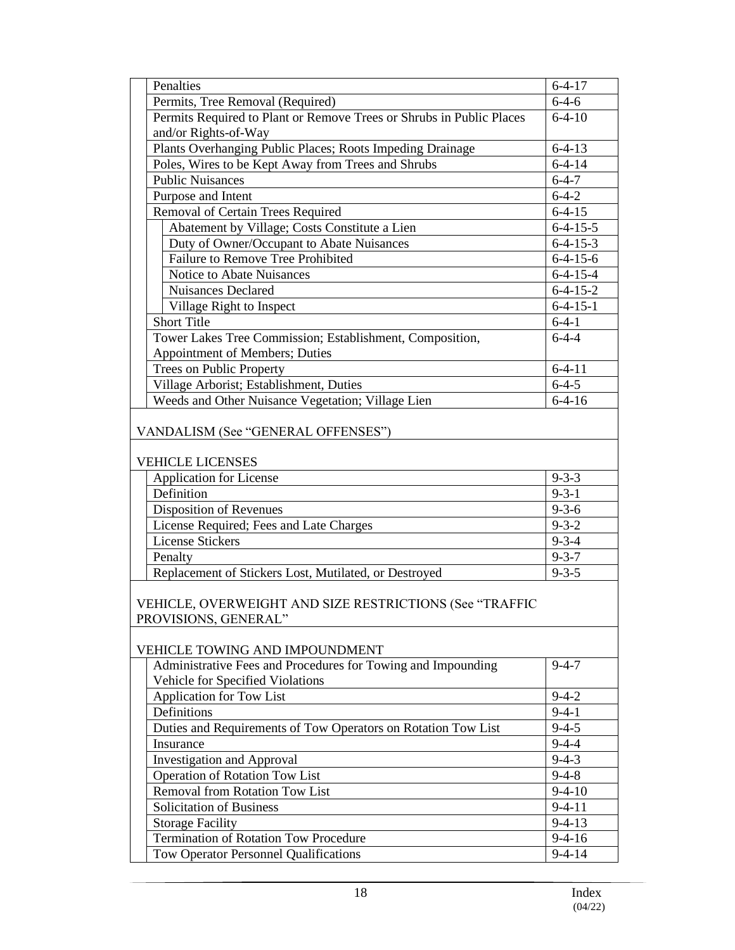|                                                                                 | Penalties                                                            | $6 - 4 - 17$     |  |
|---------------------------------------------------------------------------------|----------------------------------------------------------------------|------------------|--|
|                                                                                 | Permits, Tree Removal (Required)                                     | $6 - 4 - 6$      |  |
|                                                                                 | Permits Required to Plant or Remove Trees or Shrubs in Public Places | $6 - 4 - 10$     |  |
|                                                                                 | and/or Rights-of-Way                                                 |                  |  |
|                                                                                 | Plants Overhanging Public Places; Roots Impeding Drainage            | $6 - 4 - 13$     |  |
|                                                                                 | Poles, Wires to be Kept Away from Trees and Shrubs                   | $6 - 4 - 14$     |  |
|                                                                                 | <b>Public Nuisances</b>                                              | $6 - 4 - 7$      |  |
|                                                                                 | Purpose and Intent                                                   | $6 - 4 - 2$      |  |
|                                                                                 | Removal of Certain Trees Required                                    | $6 - 4 - 15$     |  |
|                                                                                 | Abatement by Village; Costs Constitute a Lien                        | $6-4-15-5$       |  |
|                                                                                 | Duty of Owner/Occupant to Abate Nuisances                            | $6-4-15-3$       |  |
|                                                                                 | Failure to Remove Tree Prohibited                                    | $6-4-15-6$       |  |
|                                                                                 | Notice to Abate Nuisances                                            | $6-4-15-4$       |  |
|                                                                                 | <b>Nuisances Declared</b>                                            | $6 - 4 - 15 - 2$ |  |
|                                                                                 | Village Right to Inspect                                             | $6-4-15-1$       |  |
|                                                                                 | <b>Short Title</b>                                                   | $6-4-1$          |  |
|                                                                                 | Tower Lakes Tree Commission; Establishment, Composition,             | $6-4-4$          |  |
|                                                                                 | Appointment of Members; Duties                                       |                  |  |
|                                                                                 | Trees on Public Property                                             | $6-4-11$         |  |
|                                                                                 | Village Arborist; Establishment, Duties                              | $6 - 4 - 5$      |  |
|                                                                                 | Weeds and Other Nuisance Vegetation; Village Lien                    | $6 - 4 - 16$     |  |
|                                                                                 | VANDALISM (See "GENERAL OFFENSES")                                   |                  |  |
|                                                                                 | <b>VEHICLE LICENSES</b>                                              |                  |  |
|                                                                                 | <b>Application for License</b>                                       | $9 - 3 - 3$      |  |
|                                                                                 | Definition                                                           | $9 - 3 - 1$      |  |
|                                                                                 | Disposition of Revenues                                              | $9 - 3 - 6$      |  |
|                                                                                 | License Required; Fees and Late Charges                              | $9 - 3 - 2$      |  |
|                                                                                 | <b>License Stickers</b>                                              | $9 - 3 - 4$      |  |
|                                                                                 | Penalty                                                              | $9 - 3 - 7$      |  |
|                                                                                 | Replacement of Stickers Lost, Mutilated, or Destroyed                | $9 - 3 - 5$      |  |
| VEHICLE, OVERWEIGHT AND SIZE RESTRICTIONS (See "TRAFFIC<br>PROVISIONS, GENERAL" |                                                                      |                  |  |
|                                                                                 | VEHICLE TOWING AND IMPOUNDMENT                                       |                  |  |
|                                                                                 | Administrative Fees and Procedures for Towing and Impounding         | $9 - 4 - 7$      |  |
|                                                                                 | Vehicle for Specified Violations                                     |                  |  |
|                                                                                 | Application for Tow List                                             | $9 - 4 - 2$      |  |
|                                                                                 | Definitions                                                          | $9-4-1$          |  |
|                                                                                 | Duties and Requirements of Tow Operators on Rotation Tow List        | $9 - 4 - 5$      |  |
|                                                                                 | Insurance                                                            | $9 - 4 - 4$      |  |
|                                                                                 | <b>Investigation and Approval</b>                                    | $9 - 4 - 3$      |  |
|                                                                                 | Operation of Rotation Tow List                                       | $9 - 4 - 8$      |  |
|                                                                                 | Removal from Rotation Tow List                                       | $9-4-10$         |  |
|                                                                                 | Solicitation of Business                                             | $9 - 4 - 11$     |  |
|                                                                                 | <b>Storage Facility</b>                                              | $9 - 4 - 13$     |  |
|                                                                                 | Termination of Rotation Tow Procedure                                | $9-4-16$         |  |
|                                                                                 | <b>Tow Operator Personnel Qualifications</b>                         | $9 - 4 - 14$     |  |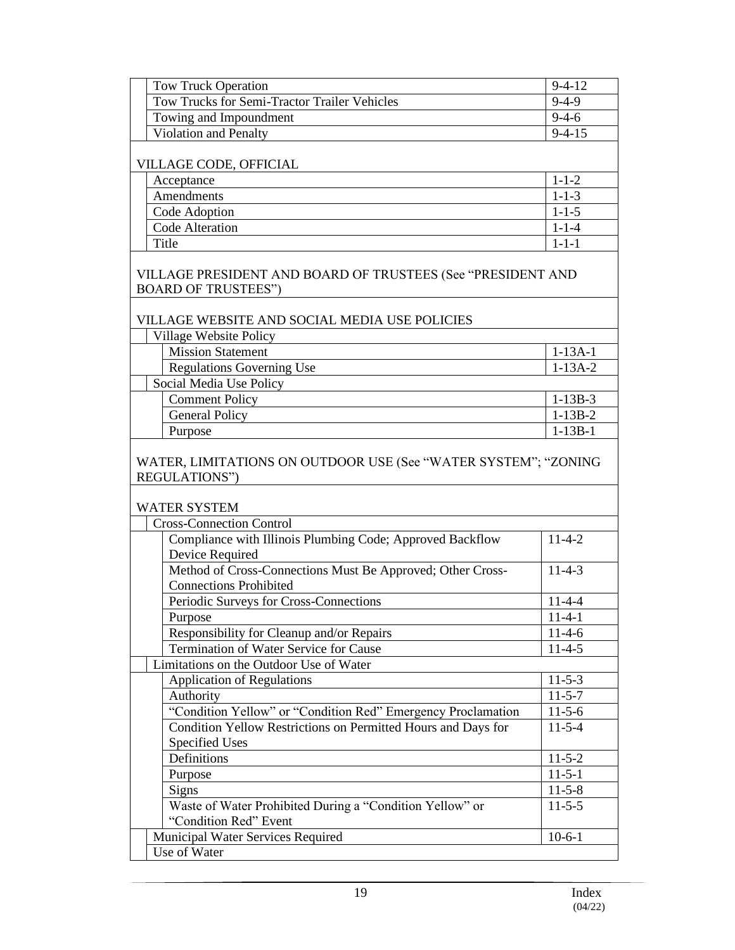| <b>Tow Truck Operation</b>                                                                  | $9 - 4 - 12$  |  |
|---------------------------------------------------------------------------------------------|---------------|--|
| Tow Trucks for Semi-Tractor Trailer Vehicles                                                | $9-4-9$       |  |
| Towing and Impoundment                                                                      | $9 - 4 - 6$   |  |
| Violation and Penalty                                                                       | $9 - 4 - 15$  |  |
| VILLAGE CODE, OFFICIAL                                                                      |               |  |
| Acceptance                                                                                  | $1 - 1 - 2$   |  |
| Amendments                                                                                  | $1 - 1 - 3$   |  |
| Code Adoption                                                                               | $1 - 1 - 5$   |  |
| Code Alteration                                                                             | $1 - 1 - 4$   |  |
| Title                                                                                       | $1 - 1 - 1$   |  |
| VILLAGE PRESIDENT AND BOARD OF TRUSTEES (See "PRESIDENT AND<br><b>BOARD OF TRUSTEES")</b>   |               |  |
| VILLAGE WEBSITE AND SOCIAL MEDIA USE POLICIES                                               |               |  |
| Village Website Policy                                                                      |               |  |
| <b>Mission Statement</b>                                                                    | $1-13A-1$     |  |
| <b>Regulations Governing Use</b>                                                            | $1-13A-2$     |  |
| Social Media Use Policy                                                                     |               |  |
| <b>Comment Policy</b>                                                                       | $1-13B-3$     |  |
| <b>General Policy</b>                                                                       | $1-13B-2$     |  |
| Purpose                                                                                     | $1 - 13B - 1$ |  |
| WATER, LIMITATIONS ON OUTDOOR USE (See "WATER SYSTEM"; "ZONING<br>REGULATIONS")             |               |  |
| <b>WATER SYSTEM</b>                                                                         |               |  |
| <b>Cross-Connection Control</b>                                                             |               |  |
| Compliance with Illinois Plumbing Code; Approved Backflow<br><b>Device Required</b>         | $11 - 4 - 2$  |  |
| Method of Cross-Connections Must Be Approved; Other Cross-<br><b>Connections Prohibited</b> | $11 - 4 - 3$  |  |
| Periodic Surveys for Cross-Connections                                                      | $11-4-4$      |  |
| Purpose                                                                                     | $11-4-1$      |  |
| Responsibility for Cleanup and/or Repairs                                                   | $11-4-6$      |  |
| Termination of Water Service for Cause                                                      | $11-4-5$      |  |
| Limitations on the Outdoor Use of Water                                                     |               |  |
| Application of Regulations                                                                  | $11 - 5 - 3$  |  |
| Authority                                                                                   | $11 - 5 - 7$  |  |
| "Condition Yellow" or "Condition Red" Emergency Proclamation                                | $11-5-6$      |  |
| Condition Yellow Restrictions on Permitted Hours and Days for                               | $11 - 5 - 4$  |  |
| <b>Specified Uses</b>                                                                       |               |  |
| Definitions                                                                                 | $11 - 5 - 2$  |  |
| Purpose                                                                                     | $11-5-1$      |  |
| Signs                                                                                       | $11 - 5 - 8$  |  |
| Waste of Water Prohibited During a "Condition Yellow" or                                    | $11-5-5$      |  |
| "Condition Red" Event<br>Municipal Water Services Required                                  | $10-6-1$      |  |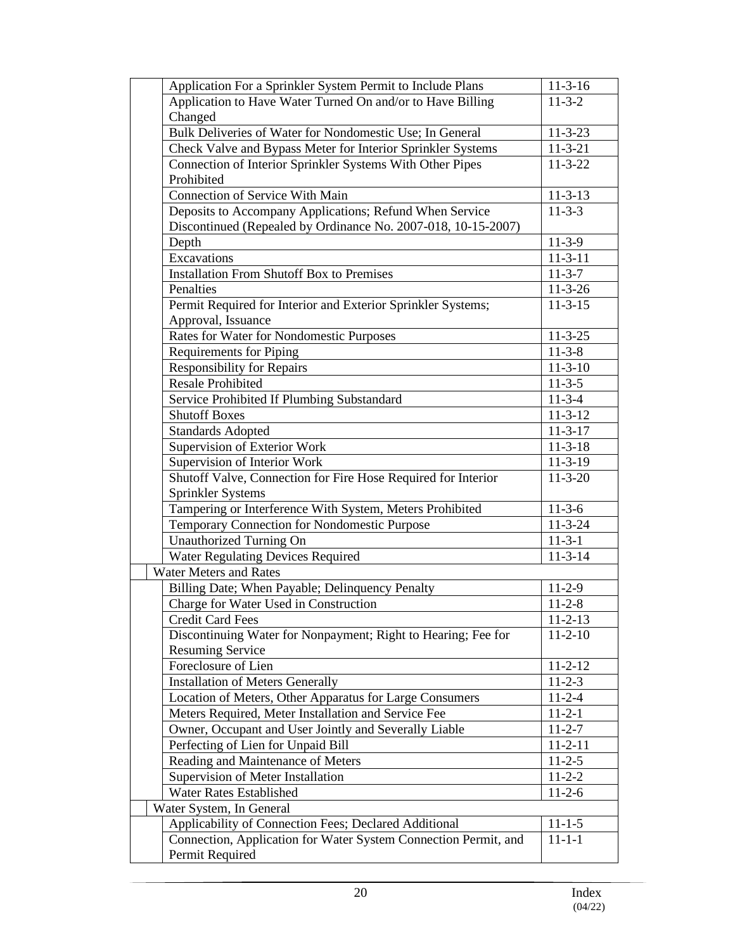| Application For a Sprinkler System Permit to Include Plans      | $11 - 3 - 16$ |
|-----------------------------------------------------------------|---------------|
| Application to Have Water Turned On and/or to Have Billing      | $11-3-2$      |
| Changed                                                         |               |
| Bulk Deliveries of Water for Nondomestic Use; In General        | $11 - 3 - 23$ |
| Check Valve and Bypass Meter for Interior Sprinkler Systems     | $11-3-21$     |
| Connection of Interior Sprinkler Systems With Other Pipes       | $11 - 3 - 22$ |
| Prohibited                                                      |               |
| <b>Connection of Service With Main</b>                          | $11 - 3 - 13$ |
| Deposits to Accompany Applications; Refund When Service         | $11 - 3 - 3$  |
| Discontinued (Repealed by Ordinance No. 2007-018, 10-15-2007)   |               |
| Depth                                                           | $11-3-9$      |
| Excavations                                                     | $11 - 3 - 11$ |
| <b>Installation From Shutoff Box to Premises</b>                | $11-3-7$      |
| Penalties                                                       | $11 - 3 - 26$ |
| Permit Required for Interior and Exterior Sprinkler Systems;    | $11 - 3 - 15$ |
| Approval, Issuance                                              |               |
| Rates for Water for Nondomestic Purposes                        | $11 - 3 - 25$ |
| <b>Requirements for Piping</b>                                  | $11 - 3 - 8$  |
| <b>Responsibility for Repairs</b>                               | $11 - 3 - 10$ |
| <b>Resale Prohibited</b>                                        | $11 - 3 - 5$  |
| Service Prohibited If Plumbing Substandard                      | $11-3-4$      |
| <b>Shutoff Boxes</b>                                            | $11 - 3 - 12$ |
| <b>Standards Adopted</b>                                        | $11 - 3 - 17$ |
| Supervision of Exterior Work                                    | $11 - 3 - 18$ |
| Supervision of Interior Work                                    | $11-3-19$     |
| Shutoff Valve, Connection for Fire Hose Required for Interior   | $11 - 3 - 20$ |
| Sprinkler Systems                                               |               |
| Tampering or Interference With System, Meters Prohibited        | $11-3-6$      |
| Temporary Connection for Nondomestic Purpose                    | $11 - 3 - 24$ |
| <b>Unauthorized Turning On</b>                                  | $11 - 3 - 1$  |
| <b>Water Regulating Devices Required</b>                        | $11 - 3 - 14$ |
| <b>Water Meters and Rates</b>                                   |               |
| Billing Date; When Payable; Delinquency Penalty                 | $11-2-9$      |
| Charge for Water Used in Construction                           | $11 - 2 - 8$  |
| <b>Credit Card Fees</b>                                         | $11 - 2 - 13$ |
| Discontinuing Water for Nonpayment; Right to Hearing; Fee for   | $11-2-10$     |
| <b>Resuming Service</b>                                         |               |
| Foreclosure of Lien                                             | $11 - 2 - 12$ |
| <b>Installation of Meters Generally</b>                         | $11 - 2 - 3$  |
| Location of Meters, Other Apparatus for Large Consumers         | $11 - 2 - 4$  |
| Meters Required, Meter Installation and Service Fee             | $11 - 2 - 1$  |
| Owner, Occupant and User Jointly and Severally Liable           | $11-2-7$      |
| Perfecting of Lien for Unpaid Bill                              | $11 - 2 - 11$ |
| Reading and Maintenance of Meters                               | $11 - 2 - 5$  |
| Supervision of Meter Installation                               | $11 - 2 - 2$  |
| Water Rates Established                                         | $11-2-6$      |
| Water System, In General                                        |               |
| Applicability of Connection Fees; Declared Additional           | $11 - 1 - 5$  |
| Connection, Application for Water System Connection Permit, and | $11 - 1 - 1$  |
| Permit Required                                                 |               |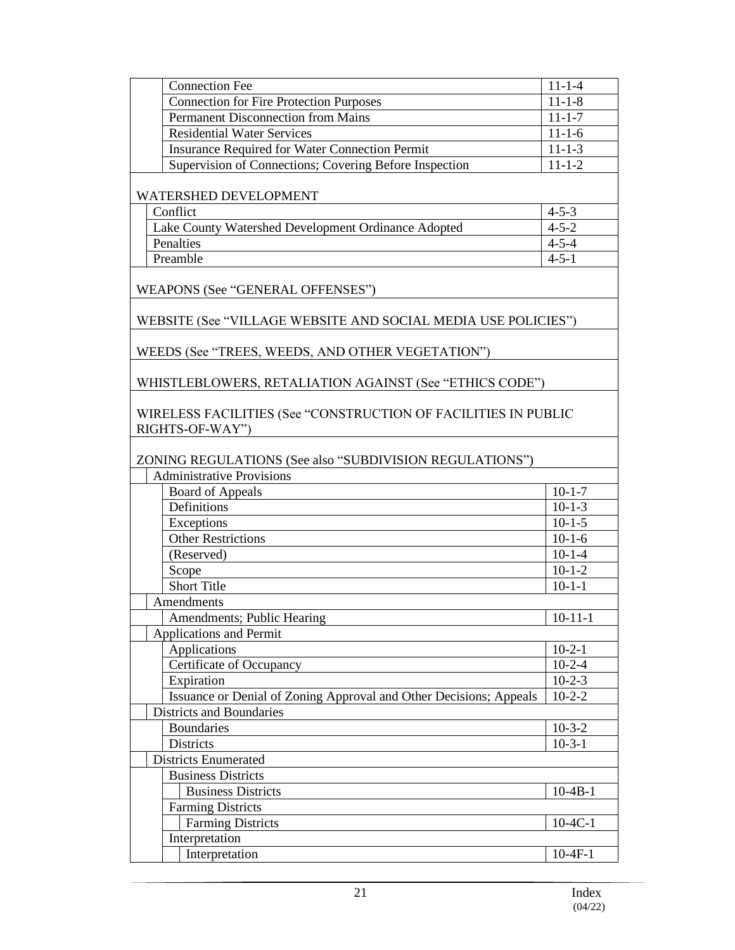| <b>Connection Fee</b>                                                             | $11 - 1 - 4$  |
|-----------------------------------------------------------------------------------|---------------|
| <b>Connection for Fire Protection Purposes</b>                                    | $11 - 1 - 8$  |
| Permanent Disconnection from Mains                                                | $11 - 1 - 7$  |
| <b>Residential Water Services</b>                                                 | $11 - 1 - 6$  |
| <b>Insurance Required for Water Connection Permit</b>                             | $11 - 1 - 3$  |
| Supervision of Connections; Covering Before Inspection                            | $11 - 1 - 2$  |
|                                                                                   |               |
| WATERSHED DEVELOPMENT                                                             |               |
| Conflict                                                                          | $4 - 5 - 3$   |
| Lake County Watershed Development Ordinance Adopted                               | $4 - 5 - 2$   |
| Penalties                                                                         | $4 - 5 - 4$   |
| Preamble                                                                          | $4 - 5 - 1$   |
| WEAPONS (See "GENERAL OFFENSES")                                                  |               |
| WEBSITE (See "VILLAGE WEBSITE AND SOCIAL MEDIA USE POLICIES")                     |               |
| WEEDS (See "TREES, WEEDS, AND OTHER VEGETATION")                                  |               |
| WHISTLEBLOWERS, RETALIATION AGAINST (See "ETHICS CODE")                           |               |
| WIRELESS FACILITIES (See "CONSTRUCTION OF FACILITIES IN PUBLIC<br>RIGHTS-OF-WAY") |               |
| ZONING REGULATIONS (See also "SUBDIVISION REGULATIONS")                           |               |
| <b>Administrative Provisions</b>                                                  |               |
| <b>Board of Appeals</b>                                                           | $10-1-7$      |
| Definitions                                                                       | $10-1-3$      |
| Exceptions                                                                        | $10-1-5$      |
| <b>Other Restrictions</b>                                                         | $10-1-6$      |
| (Reserved)                                                                        | $10-1-4$      |
| Scope                                                                             | $10-1-2$      |
| <b>Short Title</b>                                                                | $10-1-1$      |
| Amendments                                                                        |               |
| Amendments; Public Hearing                                                        | $10 - 11 - 1$ |
| <b>Applications and Permit</b>                                                    |               |
| Applications                                                                      | $10-2-1$      |
| Certificate of Occupancy                                                          | $10-2-4$      |
| Expiration                                                                        | $10-2-3$      |
| Issuance or Denial of Zoning Approval and Other Decisions; Appeals                | $10-2-2$      |
| Districts and Boundaries                                                          |               |
| <b>Boundaries</b>                                                                 | $10-3-2$      |
| Districts                                                                         | $10-3-1$      |
| <b>Districts Enumerated</b>                                                       |               |
| <b>Business Districts</b>                                                         |               |
| <b>Business Districts</b>                                                         | $10-4B-1$     |
| <b>Farming Districts</b>                                                          |               |
| <b>Farming Districts</b>                                                          | $10-4C-1$     |
| Interpretation                                                                    |               |
| Interpretation                                                                    | $10-4F-1$     |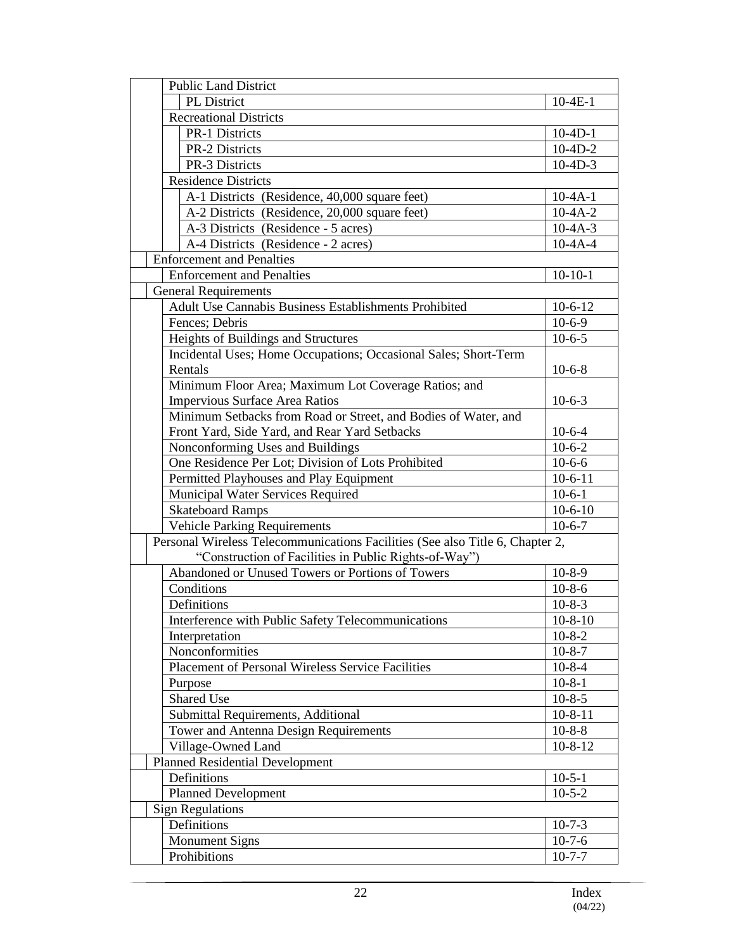| <b>Public Land District</b>                                                            |               |
|----------------------------------------------------------------------------------------|---------------|
| PL District                                                                            | $10-4E-1$     |
| <b>Recreational Districts</b>                                                          |               |
| <b>PR-1 Districts</b>                                                                  | $10-4D-1$     |
| PR-2 Districts                                                                         | $10-4D-2$     |
| PR-3 Districts                                                                         | $10-4D-3$     |
| <b>Residence Districts</b>                                                             |               |
| A-1 Districts (Residence, 40,000 square feet)                                          | $10-4A-1$     |
| A-2 Districts (Residence, 20,000 square feet)                                          | $10-4A-2$     |
| A-3 Districts (Residence - 5 acres)                                                    | $10 - 4A - 3$ |
| A-4 Districts (Residence - 2 acres)                                                    | $10-4A-4$     |
| <b>Enforcement and Penalties</b>                                                       |               |
| <b>Enforcement and Penalties</b>                                                       | $10-10-1$     |
| <b>General Requirements</b>                                                            |               |
| Adult Use Cannabis Business Establishments Prohibited                                  | $10-6-12$     |
| Fences; Debris                                                                         | $10-6-9$      |
| Heights of Buildings and Structures                                                    | $10-6-5$      |
| Incidental Uses; Home Occupations; Occasional Sales; Short-Term                        |               |
| Rentals                                                                                | $10-6-8$      |
| Minimum Floor Area; Maximum Lot Coverage Ratios; and                                   |               |
| Impervious Surface Area Ratios                                                         | $10-6-3$      |
| Minimum Setbacks from Road or Street, and Bodies of Water, and                         |               |
| Front Yard, Side Yard, and Rear Yard Setbacks                                          | $10-6-4$      |
|                                                                                        | $10-6-2$      |
| Nonconforming Uses and Buildings<br>One Residence Per Lot; Division of Lots Prohibited | $10-6-6$      |
|                                                                                        | $10-6-11$     |
| Permitted Playhouses and Play Equipment                                                |               |
| Municipal Water Services Required                                                      | $10-6-1$      |
| <b>Skateboard Ramps</b>                                                                | $10-6-10$     |
| <b>Vehicle Parking Requirements</b>                                                    | $10-6-7$      |
| Personal Wireless Telecommunications Facilities (See also Title 6, Chapter 2,          |               |
| "Construction of Facilities in Public Rights-of-Way")                                  |               |
| Abandoned or Unused Towers or Portions of Towers                                       | $10-8-9$      |
| Conditions                                                                             | $10-8-6$      |
| Definitions                                                                            | $10-8-3$      |
| Interference with Public Safety Telecommunications                                     | $10 - 8 - 10$ |
| Interpretation                                                                         | $10 - 8 - 2$  |
| Nonconformities                                                                        | $10 - 8 - 7$  |
| <b>Placement of Personal Wireless Service Facilities</b>                               | $10-8-4$      |
| Purpose                                                                                | $10-8-1$      |
| Shared Use                                                                             | $10 - 8 - 5$  |
| Submittal Requirements, Additional                                                     | $10-8-11$     |
| Tower and Antenna Design Requirements                                                  | $10 - 8 - 8$  |
| Village-Owned Land                                                                     | $10 - 8 - 12$ |
| <b>Planned Residential Development</b>                                                 |               |
| Definitions                                                                            | $10-5-1$      |
| <b>Planned Development</b>                                                             | $10-5-2$      |
| <b>Sign Regulations</b>                                                                |               |
| Definitions                                                                            | $10-7-3$      |
| <b>Monument Signs</b>                                                                  | $10-7-6$      |
| Prohibitions                                                                           | $10 - 7 - 7$  |